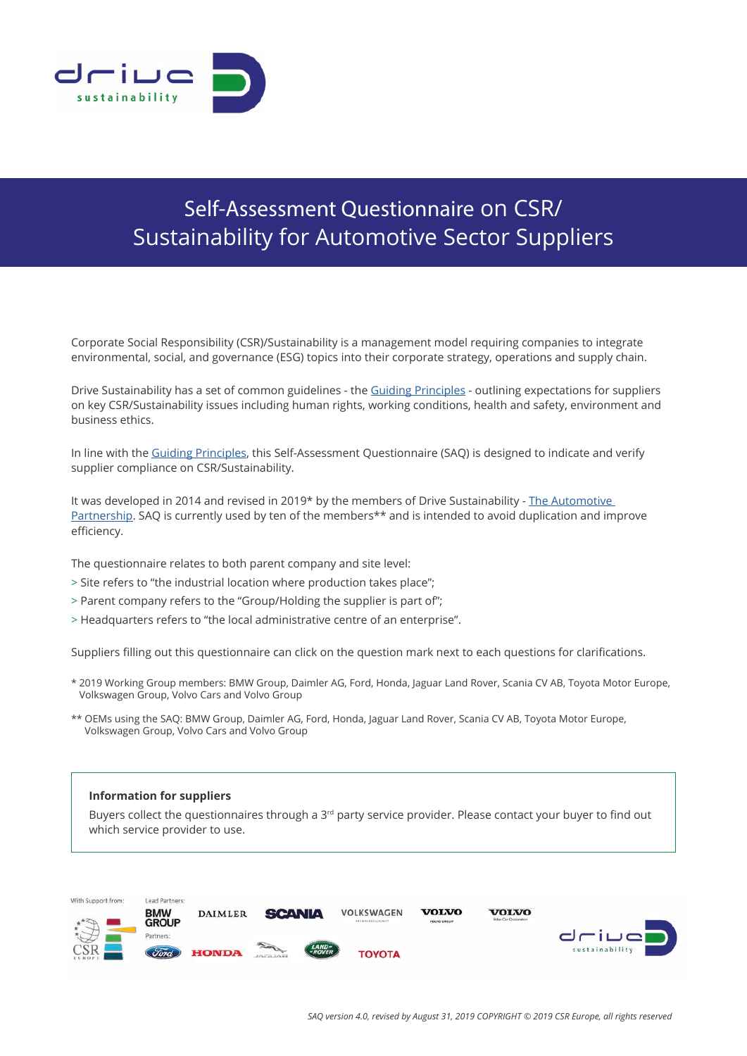

# Self-Assessment Questionnaire on CSR/ Sustainability for Automotive Sector Suppliers

Corporate Social Responsibility (CSR)/Sustainability is a management model requiring companies to integrate environmental, social, and governance (ESG) topics into their corporate strategy, operations and supply chain.

Drive Sustainability has a set of common guidelines - the [Guiding Principles](https://drivesustainability.org/guiding-principles/) - outlining expectations for suppliers on key CSR/Sustainability issues including human rights, working conditions, health and safety, environment and business ethics.

In line with the [Guiding Principles](https://drivesustainability.org/guiding-principles/), this Self-Assessment Questionnaire (SAQ) is designed to indicate and verify supplier compliance on CSR/Sustainability.

It was developed in 2014 and revised in 2019\* by the members of Drive Sustainability - [The Automotive](https://drivesustainability.org/)  [Partnership.](https://drivesustainability.org/) SAQ is currently used by ten of the members\*\* and is intended to avoid duplication and improve efficiency.

The questionnaire relates to both parent company and site level:

- > Site refers to "the industrial location where production takes place";
- > Parent company refers to the "Group/Holding the supplier is part of";
- > Headquarters refers to "the local administrative centre of an enterprise".

Suppliers filling out this questionnaire can click on the question mark next to each questions for clarifications.

- \* 2019 Working Group members: BMW Group, Daimler AG, Ford, Honda, Jaguar Land Rover, Scania CV AB, Toyota Motor Europe, Volkswagen Group, Volvo Cars and Volvo Group
- \*\* OEMs using the SAQ: BMW Group, Daimler AG, Ford, Honda, Jaguar Land Rover, Scania CV AB, Toyota Motor Europe, Volkswagen Group, Volvo Cars and Volvo Group

## **Information for suppliers**

Buyers collect the questionnaires through a  $3<sup>rd</sup>$  party service provider. Please contact your buyer to find out which service provider to use.

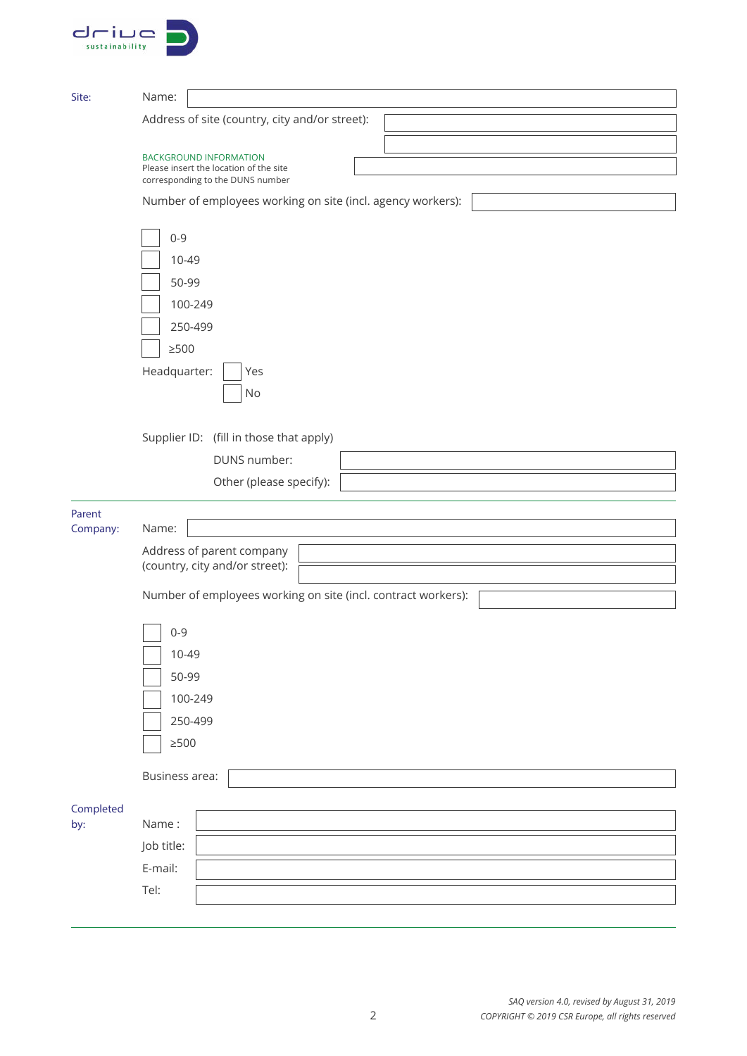| - 11 1         |  |
|----------------|--|
| sustainability |  |

| Site:     | Name:                                                                   |
|-----------|-------------------------------------------------------------------------|
|           | Address of site (country, city and/or street):                          |
|           |                                                                         |
|           | <b>BACKGROUND INFORMATION</b><br>Please insert the location of the site |
|           | corresponding to the DUNS number                                        |
|           | Number of employees working on site (incl. agency workers):             |
|           | $0 - 9$                                                                 |
|           | 10-49                                                                   |
|           | 50-99                                                                   |
|           | 100-249                                                                 |
|           | 250-499                                                                 |
|           | $\geq$ 500                                                              |
|           | Headquarter:<br>Yes                                                     |
|           | No                                                                      |
|           |                                                                         |
|           | Supplier ID: (fill in those that apply)                                 |
|           | DUNS number:                                                            |
|           | Other (please specify):                                                 |
| Parent    |                                                                         |
| Company:  | Name:                                                                   |
|           | Address of parent company                                               |
|           | (country, city and/or street):                                          |
|           | Number of employees working on site (incl. contract workers):           |
|           | $0 - 9$                                                                 |
|           | 10-49                                                                   |
|           | 50-99                                                                   |
|           | 100-249                                                                 |
|           | 250-499                                                                 |
|           | $\geq$ 500                                                              |
|           |                                                                         |
|           | Business area:                                                          |
| Completed |                                                                         |
| by:       | Name:                                                                   |
|           | Job title:                                                              |
|           | E-mail:                                                                 |
|           | Tel:                                                                    |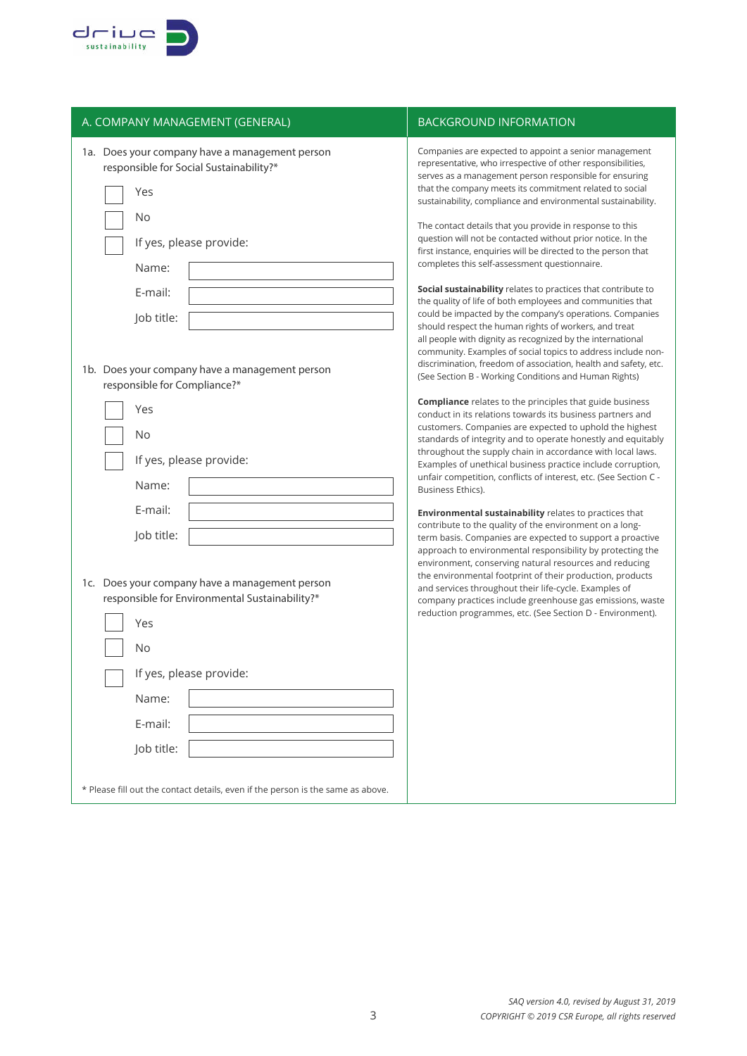

| A. COMPANY MANAGEMENT (GENERAL)                                                                                                                                     | <b>BACKGROUND INFORMATION</b>                                                                                                                                                                                                                                                                                                                                                                                                                                                                                                                                                                                                                                                                                                                                                                              |
|---------------------------------------------------------------------------------------------------------------------------------------------------------------------|------------------------------------------------------------------------------------------------------------------------------------------------------------------------------------------------------------------------------------------------------------------------------------------------------------------------------------------------------------------------------------------------------------------------------------------------------------------------------------------------------------------------------------------------------------------------------------------------------------------------------------------------------------------------------------------------------------------------------------------------------------------------------------------------------------|
| 1a. Does your company have a management person<br>responsible for Social Sustainability?*<br>Yes<br>No<br>If yes, please provide:<br>Name:<br>E-mail:<br>Job title: | Companies are expected to appoint a senior management<br>representative, who irrespective of other responsibilities,<br>serves as a management person responsible for ensuring<br>that the company meets its commitment related to social<br>sustainability, compliance and environmental sustainability.<br>The contact details that you provide in response to this<br>question will not be contacted without prior notice. In the<br>first instance, enquiries will be directed to the person that<br>completes this self-assessment questionnaire.<br>Social sustainability relates to practices that contribute to<br>the quality of life of both employees and communities that<br>could be impacted by the company's operations. Companies<br>should respect the human rights of workers, and treat |
| 1b. Does your company have a management person<br>responsible for Compliance?*                                                                                      | all people with dignity as recognized by the international<br>community. Examples of social topics to address include non-<br>discrimination, freedom of association, health and safety, etc.<br>(See Section B - Working Conditions and Human Rights)                                                                                                                                                                                                                                                                                                                                                                                                                                                                                                                                                     |
| Yes<br>No<br>If yes, please provide:<br>Name:                                                                                                                       | <b>Compliance</b> relates to the principles that guide business<br>conduct in its relations towards its business partners and<br>customers. Companies are expected to uphold the highest<br>standards of integrity and to operate honestly and equitably<br>throughout the supply chain in accordance with local laws.<br>Examples of unethical business practice include corruption,<br>unfair competition, conflicts of interest, etc. (See Section C -<br>Business Ethics).                                                                                                                                                                                                                                                                                                                             |
| E-mail:<br>Job title:                                                                                                                                               | <b>Environmental sustainability relates to practices that</b><br>contribute to the quality of the environment on a long-<br>term basis. Companies are expected to support a proactive<br>approach to environmental responsibility by protecting the<br>environment, conserving natural resources and reducing                                                                                                                                                                                                                                                                                                                                                                                                                                                                                              |
| 1c. Does your company have a management person<br>responsible for Environmental Sustainability?*<br>Yes<br>No                                                       | the environmental footprint of their production, products<br>and services throughout their life-cycle. Examples of<br>company practices include greenhouse gas emissions, waste<br>reduction programmes, etc. (See Section D - Environment).                                                                                                                                                                                                                                                                                                                                                                                                                                                                                                                                                               |
| If yes, please provide:                                                                                                                                             |                                                                                                                                                                                                                                                                                                                                                                                                                                                                                                                                                                                                                                                                                                                                                                                                            |
| Name:                                                                                                                                                               |                                                                                                                                                                                                                                                                                                                                                                                                                                                                                                                                                                                                                                                                                                                                                                                                            |
| E-mail:                                                                                                                                                             |                                                                                                                                                                                                                                                                                                                                                                                                                                                                                                                                                                                                                                                                                                                                                                                                            |
| Job title:                                                                                                                                                          |                                                                                                                                                                                                                                                                                                                                                                                                                                                                                                                                                                                                                                                                                                                                                                                                            |
| * Please fill out the contact details, even if the person is the same as above.                                                                                     |                                                                                                                                                                                                                                                                                                                                                                                                                                                                                                                                                                                                                                                                                                                                                                                                            |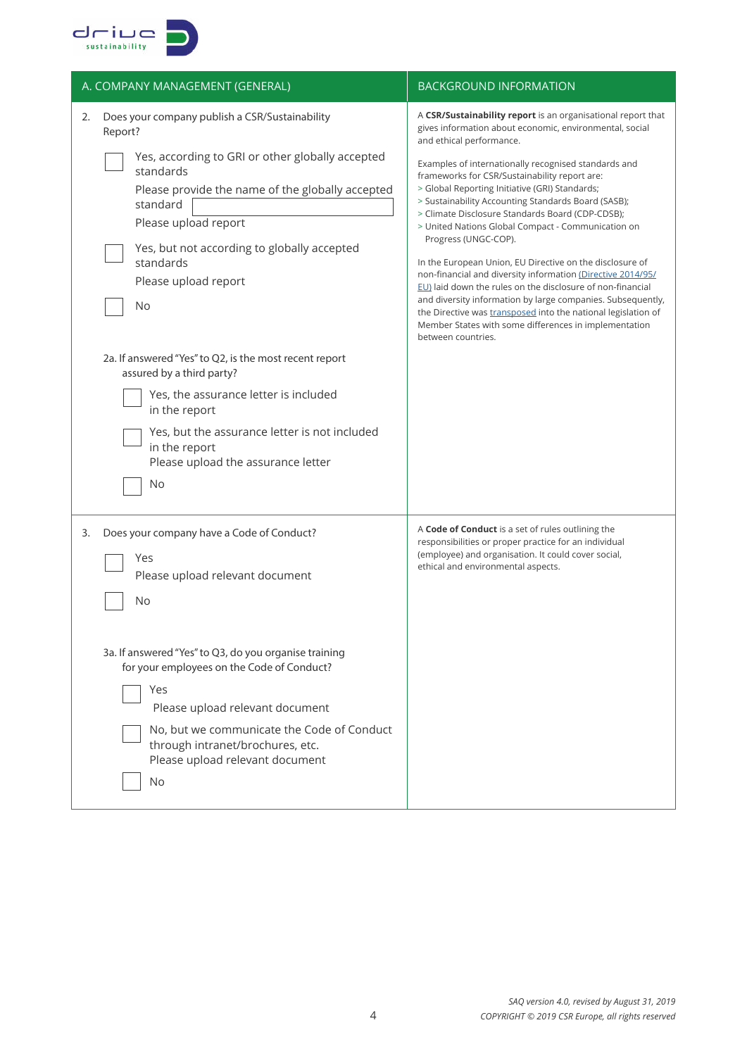

| A. COMPANY MANAGEMENT (GENERAL)                                                                                                                                                                                                                                                                                                                                                                                                                                                                                                                                                   | <b>BACKGROUND INFORMATION</b>                                                                                                                                                                                                                                                                                                                                                                                                                                                                                                                                                                                                                                                                                                                                                                                                                                                                                   |
|-----------------------------------------------------------------------------------------------------------------------------------------------------------------------------------------------------------------------------------------------------------------------------------------------------------------------------------------------------------------------------------------------------------------------------------------------------------------------------------------------------------------------------------------------------------------------------------|-----------------------------------------------------------------------------------------------------------------------------------------------------------------------------------------------------------------------------------------------------------------------------------------------------------------------------------------------------------------------------------------------------------------------------------------------------------------------------------------------------------------------------------------------------------------------------------------------------------------------------------------------------------------------------------------------------------------------------------------------------------------------------------------------------------------------------------------------------------------------------------------------------------------|
| Does your company publish a CSR/Sustainability<br>2.<br>Report?<br>Yes, according to GRI or other globally accepted<br>standards<br>Please provide the name of the globally accepted<br>standard<br>Please upload report<br>Yes, but not according to globally accepted<br>standards<br>Please upload report<br>No<br>2a. If answered "Yes" to Q2, is the most recent report<br>assured by a third party?<br>Yes, the assurance letter is included<br>in the report<br>Yes, but the assurance letter is not included<br>in the report<br>Please upload the assurance letter<br>No | A CSR/Sustainability report is an organisational report that<br>gives information about economic, environmental, social<br>and ethical performance.<br>Examples of internationally recognised standards and<br>frameworks for CSR/Sustainability report are:<br>> Global Reporting Initiative (GRI) Standards;<br>> Sustainability Accounting Standards Board (SASB);<br>> Climate Disclosure Standards Board (CDP-CDSB);<br>> United Nations Global Compact - Communication on<br>Progress (UNGC-COP).<br>In the European Union, EU Directive on the disclosure of<br>non-financial and diversity information (Directive 2014/95/<br>EU) laid down the rules on the disclosure of non-financial<br>and diversity information by large companies. Subsequently,<br>the Directive was transposed into the national legislation of<br>Member States with some differences in implementation<br>between countries. |
| Does your company have a Code of Conduct?<br>3.<br>Yes<br>Please upload relevant document<br>No<br>3a. If answered "Yes" to Q3, do you organise training<br>for your employees on the Code of Conduct?<br>Yes<br>Please upload relevant document<br>No, but we communicate the Code of Conduct<br>through intranet/brochures, etc.<br>Please upload relevant document<br>No                                                                                                                                                                                                       | A Code of Conduct is a set of rules outlining the<br>responsibilities or proper practice for an individual<br>(employee) and organisation. It could cover social,<br>ethical and environmental aspects.                                                                                                                                                                                                                                                                                                                                                                                                                                                                                                                                                                                                                                                                                                         |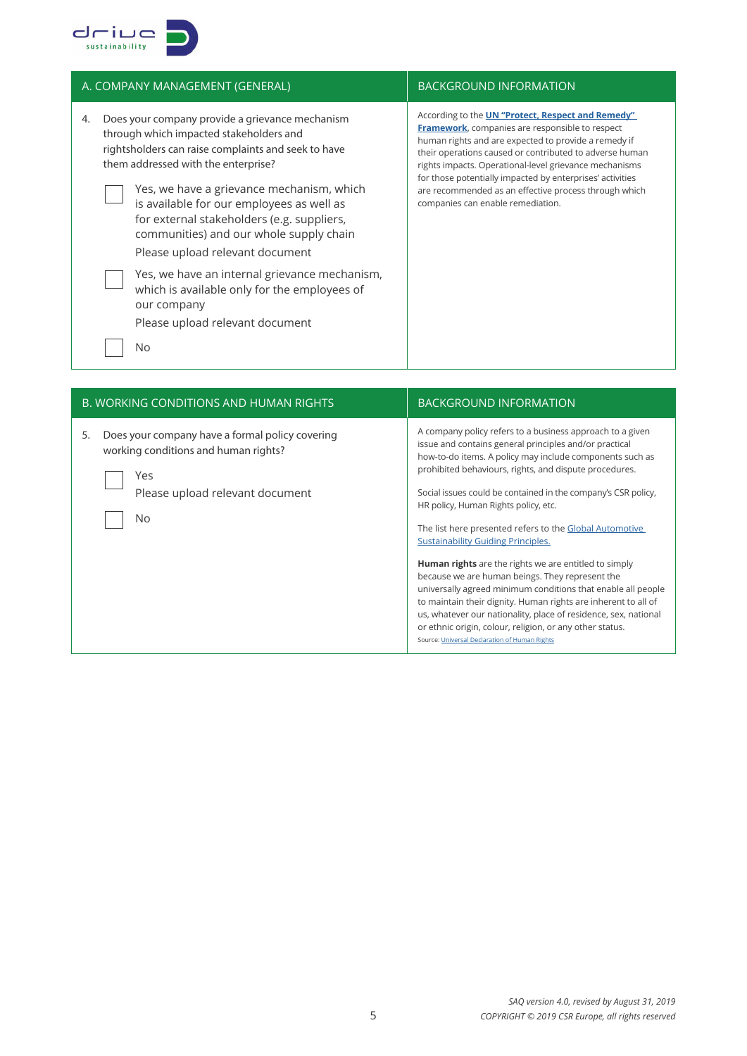

| A. COMPANY MANAGEMENT (GENERAL)                                                                                                                                                                                                                                                                                                                                                                                                                                       | <b>BACKGROUND INFORMATION</b>                                                                                                                                                                                                                                                                                                                                                                                                                               |
|-----------------------------------------------------------------------------------------------------------------------------------------------------------------------------------------------------------------------------------------------------------------------------------------------------------------------------------------------------------------------------------------------------------------------------------------------------------------------|-------------------------------------------------------------------------------------------------------------------------------------------------------------------------------------------------------------------------------------------------------------------------------------------------------------------------------------------------------------------------------------------------------------------------------------------------------------|
| Does your company provide a grievance mechanism<br>4.<br>through which impacted stakeholders and<br>rightsholders can raise complaints and seek to have<br>them addressed with the enterprise?<br>Yes, we have a grievance mechanism, which<br>is available for our employees as well as<br>for external stakeholders (e.g. suppliers,<br>communities) and our whole supply chain<br>Please upload relevant document<br>Yes, we have an internal grievance mechanism, | According to the <b>UN "Protect, Respect and Remedy"</b><br><b>Framework</b> , companies are responsible to respect<br>human rights and are expected to provide a remedy if<br>their operations caused or contributed to adverse human<br>rights impacts. Operational-level grievance mechanisms<br>for those potentially impacted by enterprises' activities<br>are recommended as an effective process through which<br>companies can enable remediation. |
| which is available only for the employees of<br>our company<br>Please upload relevant document                                                                                                                                                                                                                                                                                                                                                                        |                                                                                                                                                                                                                                                                                                                                                                                                                                                             |
| <b>No</b>                                                                                                                                                                                                                                                                                                                                                                                                                                                             |                                                                                                                                                                                                                                                                                                                                                                                                                                                             |
|                                                                                                                                                                                                                                                                                                                                                                                                                                                                       |                                                                                                                                                                                                                                                                                                                                                                                                                                                             |
| R <i>WORKING CONDITIONS AND HUMAN PIGHTS</i>                                                                                                                                                                                                                                                                                                                                                                                                                          | RACKGROUIND INFORMATION                                                                                                                                                                                                                                                                                                                                                                                                                                     |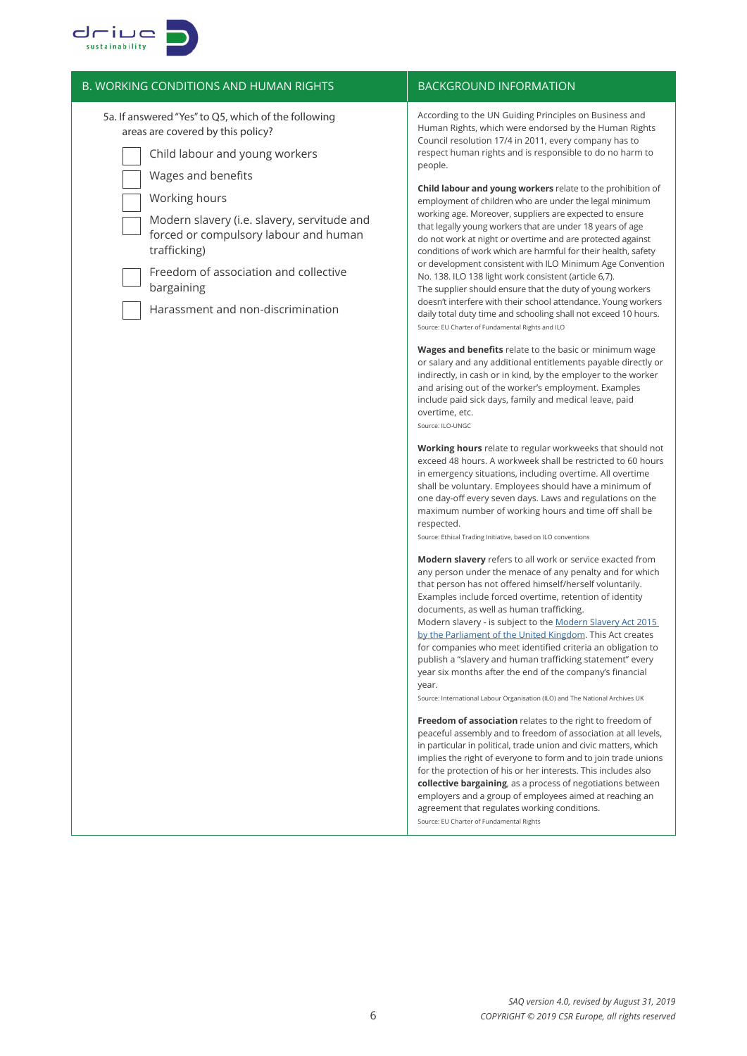

| <b>B. WORKING CONDITIONS AND HUMAN RIGHTS</b>                                                                                                                                                                     | <b>BACKGROUND INFORMATION</b>                                                                                                                                                                                                                                                                                                                                                                                                                                                                                                                                                                                                                                                                                                                          |
|-------------------------------------------------------------------------------------------------------------------------------------------------------------------------------------------------------------------|--------------------------------------------------------------------------------------------------------------------------------------------------------------------------------------------------------------------------------------------------------------------------------------------------------------------------------------------------------------------------------------------------------------------------------------------------------------------------------------------------------------------------------------------------------------------------------------------------------------------------------------------------------------------------------------------------------------------------------------------------------|
| 5a. If answered "Yes" to Q5, which of the following<br>areas are covered by this policy?<br>Child labour and young workers<br>Wages and benefits                                                                  | According to the UN Guiding Principles on Business and<br>Human Rights, which were endorsed by the Human Rights<br>Council resolution 17/4 in 2011, every company has to<br>respect human rights and is responsible to do no harm to<br>people.                                                                                                                                                                                                                                                                                                                                                                                                                                                                                                        |
| Working hours<br>Modern slavery (i.e. slavery, servitude and<br>forced or compulsory labour and human<br>trafficking)<br>Freedom of association and collective<br>bargaining<br>Harassment and non-discrimination | Child labour and young workers relate to the prohibition of<br>employment of children who are under the legal minimum<br>working age. Moreover, suppliers are expected to ensure<br>that legally young workers that are under 18 years of age<br>do not work at night or overtime and are protected against<br>conditions of work which are harmful for their health, safety<br>or development consistent with ILO Minimum Age Convention<br>No. 138. ILO 138 light work consistent (article 6,7).<br>The supplier should ensure that the duty of young workers<br>doesn't interfere with their school attendance. Young workers<br>daily total duty time and schooling shall not exceed 10 hours.<br>Source: EU Charter of Fundamental Rights and ILO |
|                                                                                                                                                                                                                   | Wages and benefits relate to the basic or minimum wage<br>or salary and any additional entitlements payable directly or<br>indirectly, in cash or in kind, by the employer to the worker<br>and arising out of the worker's employment. Examples<br>include paid sick days, family and medical leave, paid<br>overtime, etc.<br>Source: ILO-UNGC                                                                                                                                                                                                                                                                                                                                                                                                       |
|                                                                                                                                                                                                                   | Working hours relate to regular workweeks that should not<br>exceed 48 hours. A workweek shall be restricted to 60 hours<br>in emergency situations, including overtime. All overtime<br>shall be voluntary. Employees should have a minimum of<br>one day-off every seven days. Laws and regulations on the<br>maximum number of working hours and time off shall be<br>respected.<br>Source: Ethical Trading Initiative, based on ILO conventions                                                                                                                                                                                                                                                                                                    |
|                                                                                                                                                                                                                   | <b>Modern slavery</b> refers to all work or service exacted from<br>any person under the menace of any penalty and for which<br>that person has not offered himself/herself voluntarily.<br>Examples include forced overtime, retention of identity<br>documents, as well as human trafficking.<br>Modern slavery - is subject to the Modern Slavery Act 2015<br>by the Parliament of the United Kingdom. This Act creates<br>for companies who meet identified criteria an obligation to<br>publish a "slavery and human trafficking statement" every<br>year six months after the end of the company's financial<br>year.<br>Source: International Labour Organisation (ILO) and The National Archives UK                                            |
|                                                                                                                                                                                                                   | Freedom of association relates to the right to freedom of<br>peaceful assembly and to freedom of association at all levels,<br>in particular in political, trade union and civic matters, which<br>implies the right of everyone to form and to join trade unions<br>for the protection of his or her interests. This includes also<br><b>collective bargaining</b> , as a process of negotiations between<br>employers and a group of employees aimed at reaching an<br>agreement that regulates working conditions.<br>Source: EU Charter of Fundamental Rights                                                                                                                                                                                      |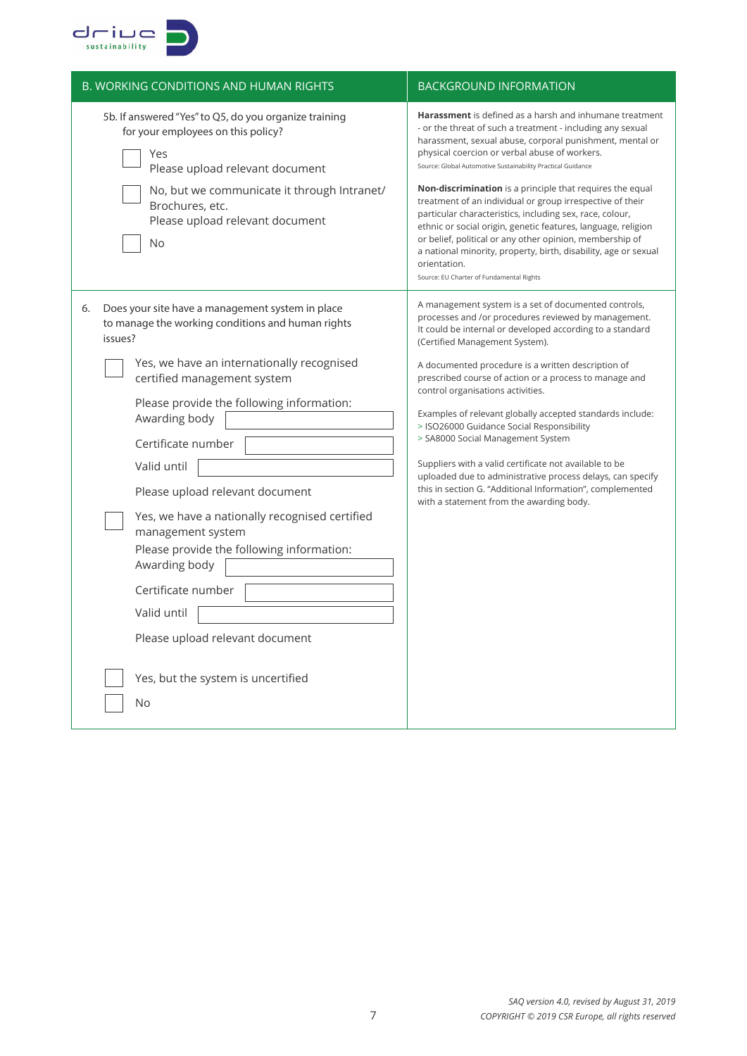

| <b>B. WORKING CONDITIONS AND HUMAN RIGHTS</b>                                                                                                                                                                                                                                                                                                                                                                                                                                                                                                                                                      | <b>BACKGROUND INFORMATION</b>                                                                                                                                                                                                                                                                                                                                                                                                                                                                                                                                                                                                                                                                                                                                     |
|----------------------------------------------------------------------------------------------------------------------------------------------------------------------------------------------------------------------------------------------------------------------------------------------------------------------------------------------------------------------------------------------------------------------------------------------------------------------------------------------------------------------------------------------------------------------------------------------------|-------------------------------------------------------------------------------------------------------------------------------------------------------------------------------------------------------------------------------------------------------------------------------------------------------------------------------------------------------------------------------------------------------------------------------------------------------------------------------------------------------------------------------------------------------------------------------------------------------------------------------------------------------------------------------------------------------------------------------------------------------------------|
| 5b. If answered "Yes" to Q5, do you organize training<br>for your employees on this policy?<br>Yes<br>Please upload relevant document<br>No, but we communicate it through Intranet/<br>Brochures, etc.<br>Please upload relevant document<br>No                                                                                                                                                                                                                                                                                                                                                   | <b>Harassment</b> is defined as a harsh and inhumane treatment<br>- or the threat of such a treatment - including any sexual<br>harassment, sexual abuse, corporal punishment, mental or<br>physical coercion or verbal abuse of workers.<br>Source: Global Automotive Sustainability Practical Guidance<br><b>Non-discrimination</b> is a principle that requires the equal<br>treatment of an individual or group irrespective of their<br>particular characteristics, including sex, race, colour,<br>ethnic or social origin, genetic features, language, religion<br>or belief, political or any other opinion, membership of<br>a national minority, property, birth, disability, age or sexual<br>orientation.<br>Source: EU Charter of Fundamental Rights |
| Does your site have a management system in place<br>6.<br>to manage the working conditions and human rights<br>issues?<br>Yes, we have an internationally recognised<br>certified management system<br>Please provide the following information:<br>Awarding body<br>Certificate number<br>Valid until<br>Please upload relevant document<br>Yes, we have a nationally recognised certified<br>management system<br>Please provide the following information:<br>Awarding body<br>Certificate number<br>Valid until<br>Please upload relevant document<br>Yes, but the system is uncertified<br>No | A management system is a set of documented controls,<br>processes and /or procedures reviewed by management.<br>It could be internal or developed according to a standard<br>(Certified Management System).<br>A documented procedure is a written description of<br>prescribed course of action or a process to manage and<br>control organisations activities.<br>Examples of relevant globally accepted standards include:<br>> ISO26000 Guidance Social Responsibility<br>> SA8000 Social Management System<br>Suppliers with a valid certificate not available to be<br>uploaded due to administrative process delays, can specify<br>this in section G. "Additional Information", complemented<br>with a statement from the awarding body.                  |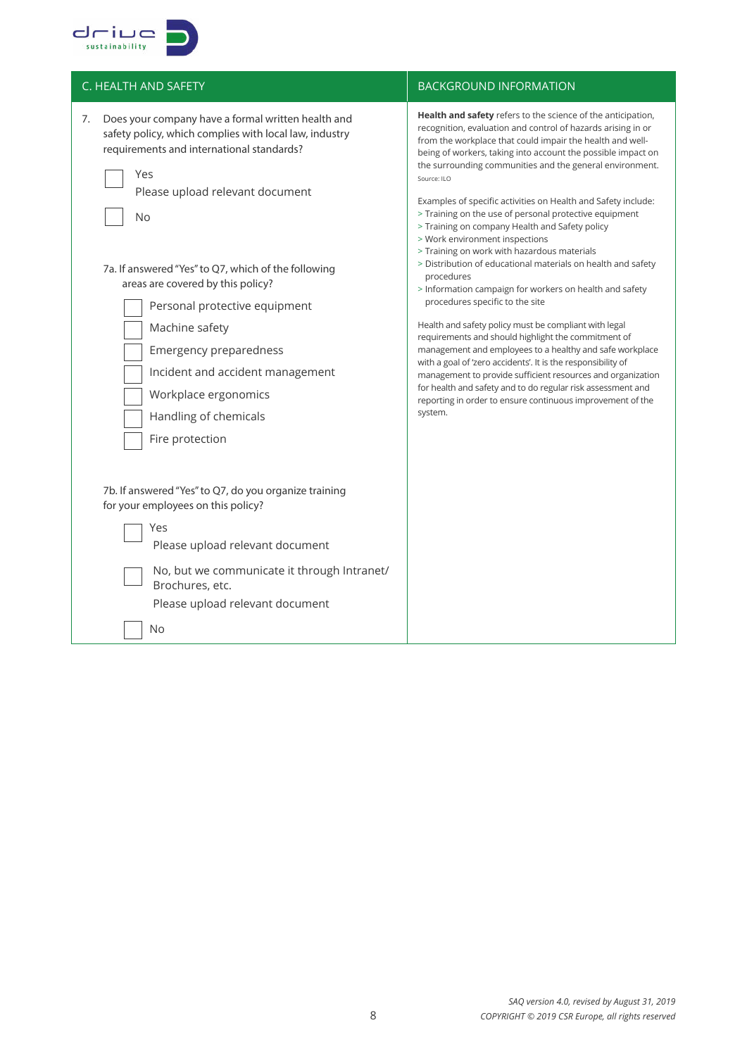

| C. HEALTH AND SAFETY                                                                                                                                                                                                                                                                                                                                                                                                                                                                                                                                                                                                                                                                                                                                 | <b>BACKGROUND INFORMATION</b>                                                                                                                                                                                                                                                                                                                                                                                                                                                                                                                                                                                                                                                                                                                                                                                                                                                                                                                                                                                                                                                                                                                                                                                                     |
|------------------------------------------------------------------------------------------------------------------------------------------------------------------------------------------------------------------------------------------------------------------------------------------------------------------------------------------------------------------------------------------------------------------------------------------------------------------------------------------------------------------------------------------------------------------------------------------------------------------------------------------------------------------------------------------------------------------------------------------------------|-----------------------------------------------------------------------------------------------------------------------------------------------------------------------------------------------------------------------------------------------------------------------------------------------------------------------------------------------------------------------------------------------------------------------------------------------------------------------------------------------------------------------------------------------------------------------------------------------------------------------------------------------------------------------------------------------------------------------------------------------------------------------------------------------------------------------------------------------------------------------------------------------------------------------------------------------------------------------------------------------------------------------------------------------------------------------------------------------------------------------------------------------------------------------------------------------------------------------------------|
| Does your company have a formal written health and<br>7.<br>safety policy, which complies with local law, industry<br>requirements and international standards?<br>Yes<br>Please upload relevant document<br>No<br>7a. If answered "Yes" to Q7, which of the following<br>areas are covered by this policy?<br>Personal protective equipment<br>Machine safety<br>Emergency preparedness<br>Incident and accident management<br>Workplace ergonomics<br>Handling of chemicals<br>Fire protection<br>7b. If answered "Yes" to Q7, do you organize training<br>for your employees on this policy?<br>Yes<br>Please upload relevant document<br>No, but we communicate it through Intranet/<br>Brochures, etc.<br>Please upload relevant document<br>No | Health and safety refers to the science of the anticipation,<br>recognition, evaluation and control of hazards arising in or<br>from the workplace that could impair the health and well-<br>being of workers, taking into account the possible impact on<br>the surrounding communities and the general environment.<br>Source: ILO<br>Examples of specific activities on Health and Safety include:<br>> Training on the use of personal protective equipment<br>> Training on company Health and Safety policy<br>> Work environment inspections<br>> Training on work with hazardous materials<br>> Distribution of educational materials on health and safety<br>procedures<br>> Information campaign for workers on health and safety<br>procedures specific to the site<br>Health and safety policy must be compliant with legal<br>requirements and should highlight the commitment of<br>management and employees to a healthy and safe workplace<br>with a goal of 'zero accidents'. It is the responsibility of<br>management to provide sufficient resources and organization<br>for health and safety and to do regular risk assessment and<br>reporting in order to ensure continuous improvement of the<br>system. |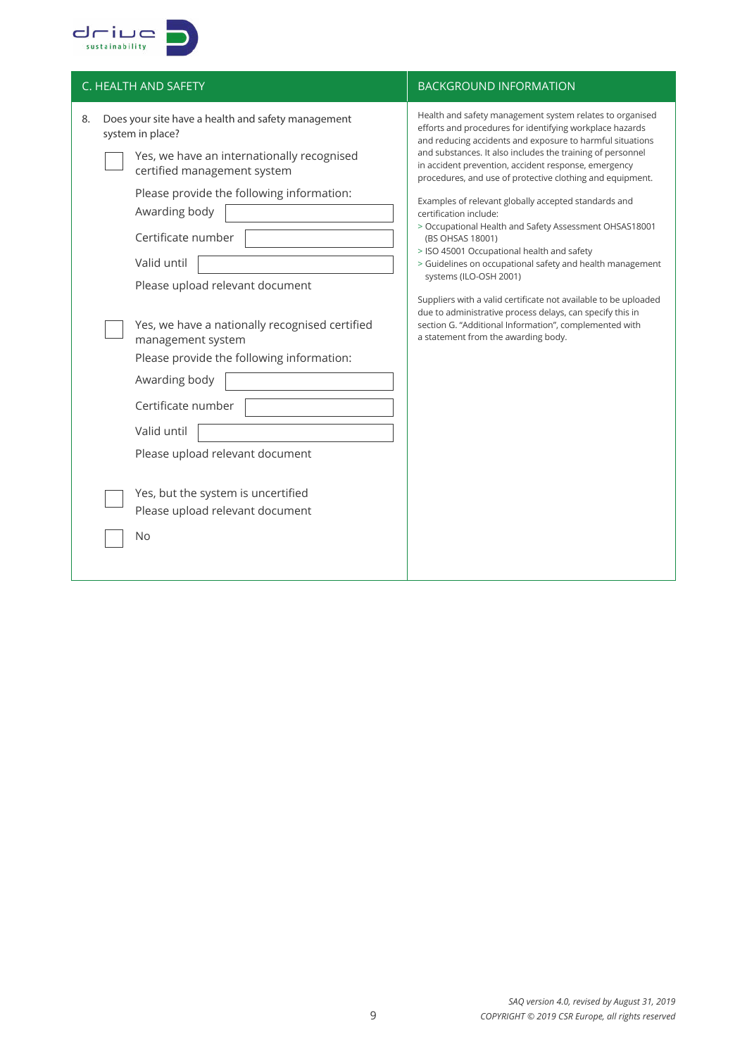

| C. HEALTH AND SAFETY                                                                                                                                                                                                                                                                                                                                                                                                                                                                                         | <b>BACKGROUND INFORMATION</b>                                                                                                                                                                                                                                                                                                                                                                                                                                                                                                                                                                                                                                                                                                                                                                                                                                                                              |
|--------------------------------------------------------------------------------------------------------------------------------------------------------------------------------------------------------------------------------------------------------------------------------------------------------------------------------------------------------------------------------------------------------------------------------------------------------------------------------------------------------------|------------------------------------------------------------------------------------------------------------------------------------------------------------------------------------------------------------------------------------------------------------------------------------------------------------------------------------------------------------------------------------------------------------------------------------------------------------------------------------------------------------------------------------------------------------------------------------------------------------------------------------------------------------------------------------------------------------------------------------------------------------------------------------------------------------------------------------------------------------------------------------------------------------|
| Does your site have a health and safety management<br>8.<br>system in place?<br>Yes, we have an internationally recognised<br>certified management system<br>Please provide the following information:<br>Awarding body<br>Certificate number<br>Valid until<br>Please upload relevant document<br>Yes, we have a nationally recognised certified<br>management system<br>Please provide the following information:<br>Awarding body<br>Certificate number<br>Valid until<br>Please upload relevant document | Health and safety management system relates to organised<br>efforts and procedures for identifying workplace hazards<br>and reducing accidents and exposure to harmful situations<br>and substances. It also includes the training of personnel<br>in accident prevention, accident response, emergency<br>procedures, and use of protective clothing and equipment.<br>Examples of relevant globally accepted standards and<br>certification include:<br>> Occupational Health and Safety Assessment OHSAS18001<br>(BS OHSAS 18001)<br>> ISO 45001 Occupational health and safety<br>> Guidelines on occupational safety and health management<br>systems (ILO-OSH 2001)<br>Suppliers with a valid certificate not available to be uploaded<br>due to administrative process delays, can specify this in<br>section G. "Additional Information", complemented with<br>a statement from the awarding body. |
| Yes, but the system is uncertified<br>Please upload relevant document<br><b>No</b>                                                                                                                                                                                                                                                                                                                                                                                                                           |                                                                                                                                                                                                                                                                                                                                                                                                                                                                                                                                                                                                                                                                                                                                                                                                                                                                                                            |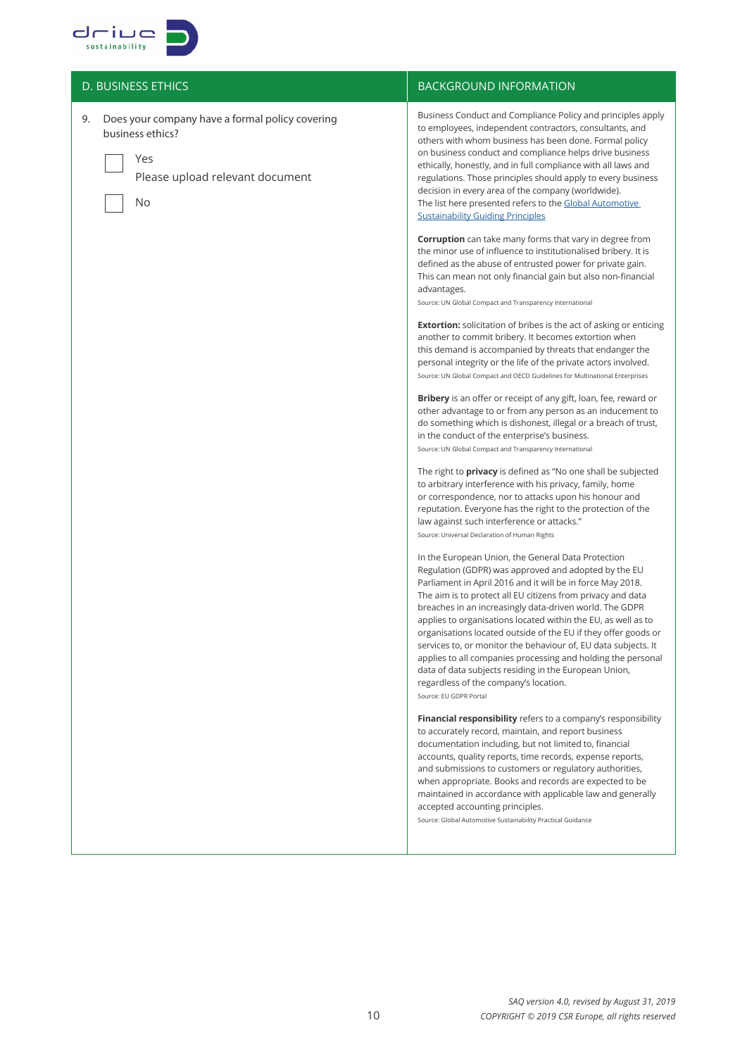

| <b>D. BUSINESS ETHICS</b>                                                                                                 | <b>BACKGROUND INFORMATION</b>                                                                                                                                                                                                                                                                                                                                                                                                                                                                                                                                                                                                                                                                                                                                                                                                                                                                                                                                                                                                                                                                                                                                                                                                                                                                                                                                                                                                                                                                                                                                                                                                                                                                                                                                                                                                                                                                                                                                                                                                                                                                                                                                                                                                 |
|---------------------------------------------------------------------------------------------------------------------------|-------------------------------------------------------------------------------------------------------------------------------------------------------------------------------------------------------------------------------------------------------------------------------------------------------------------------------------------------------------------------------------------------------------------------------------------------------------------------------------------------------------------------------------------------------------------------------------------------------------------------------------------------------------------------------------------------------------------------------------------------------------------------------------------------------------------------------------------------------------------------------------------------------------------------------------------------------------------------------------------------------------------------------------------------------------------------------------------------------------------------------------------------------------------------------------------------------------------------------------------------------------------------------------------------------------------------------------------------------------------------------------------------------------------------------------------------------------------------------------------------------------------------------------------------------------------------------------------------------------------------------------------------------------------------------------------------------------------------------------------------------------------------------------------------------------------------------------------------------------------------------------------------------------------------------------------------------------------------------------------------------------------------------------------------------------------------------------------------------------------------------------------------------------------------------------------------------------------------------|
| Does your company have a formal policy covering<br>9.<br>business ethics?<br>Yes<br>Please upload relevant document<br>No | Business Conduct and Compliance Policy and principles apply<br>to employees, independent contractors, consultants, and<br>others with whom business has been done. Formal policy<br>on business conduct and compliance helps drive business<br>ethically, honestly, and in full compliance with all laws and<br>regulations. Those principles should apply to every business<br>decision in every area of the company (worldwide).<br>The list here presented refers to the Global Automotive<br><b>Sustainability Guiding Principles</b><br><b>Corruption</b> can take many forms that vary in degree from<br>the minor use of influence to institutionalised bribery. It is<br>defined as the abuse of entrusted power for private gain.<br>This can mean not only financial gain but also non-financial<br>advantages.<br>Source: UN Global Compact and Transparency International<br><b>Extortion:</b> solicitation of bribes is the act of asking or enticing<br>another to commit bribery. It becomes extortion when<br>this demand is accompanied by threats that endanger the<br>personal integrity or the life of the private actors involved.<br>Source: UN Global Compact and OECD Guidelines for Multinational Enterprises<br><b>Bribery</b> is an offer or receipt of any gift, loan, fee, reward or<br>other advantage to or from any person as an inducement to<br>do something which is dishonest, illegal or a breach of trust,<br>in the conduct of the enterprise's business.<br>Source: UN Global Compact and Transparency International<br>The right to <b>privacy</b> is defined as "No one shall be subjected<br>to arbitrary interference with his privacy, family, home<br>or correspondence, nor to attacks upon his honour and<br>reputation. Everyone has the right to the protection of the<br>law against such interference or attacks."<br>Source: Universal Declaration of Human Rights<br>In the European Union, the General Data Protection<br>Regulation (GDPR) was approved and adopted by the EU<br>Parliament in April 2016 and it will be in force May 2018.<br>The aim is to protect all EU citizens from privacy and data<br>breaches in an increasingly data-driven world. The GDPR |
|                                                                                                                           | applies to organisations located within the EU, as well as to<br>organisations located outside of the EU if they offer goods or<br>services to, or monitor the behaviour of, EU data subjects. It<br>applies to all companies processing and holding the personal<br>data of data subjects residing in the European Union,<br>regardless of the company's location.                                                                                                                                                                                                                                                                                                                                                                                                                                                                                                                                                                                                                                                                                                                                                                                                                                                                                                                                                                                                                                                                                                                                                                                                                                                                                                                                                                                                                                                                                                                                                                                                                                                                                                                                                                                                                                                           |
|                                                                                                                           | Source: EU GDPR Portal<br>Financial responsibility refers to a company's responsibility<br>to accurately record, maintain, and report business<br>documentation including, but not limited to, financial<br>accounts, quality reports, time records, expense reports,<br>and submissions to customers or regulatory authorities,<br>when appropriate. Books and records are expected to be<br>maintained in accordance with applicable law and generally<br>accepted accounting principles.<br>Source: Global Automotive Sustainability Practical Guidance                                                                                                                                                                                                                                                                                                                                                                                                                                                                                                                                                                                                                                                                                                                                                                                                                                                                                                                                                                                                                                                                                                                                                                                                                                                                                                                                                                                                                                                                                                                                                                                                                                                                    |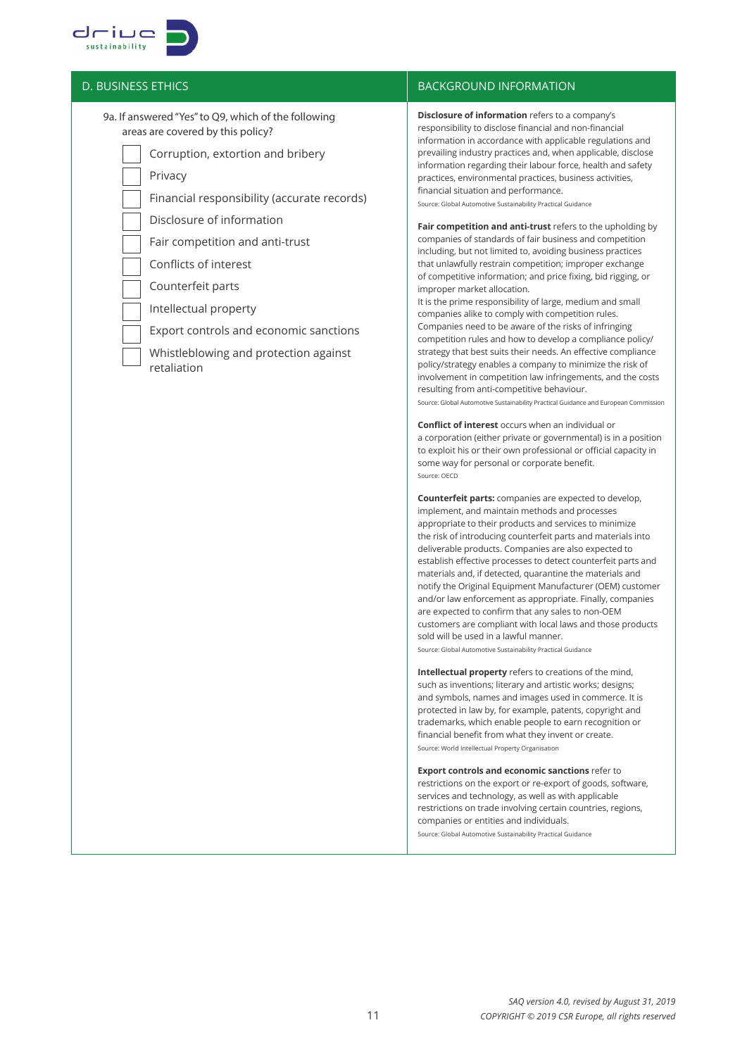

9a. If answered "Yes" to Q9, which of the following areas are covered by this policy?

Corruption, extortion and bribery

Privacy

Financial responsibility (accurate records)

Disclosure of information

Fair competition and anti-trust

Conflicts of interest

Counterfeit parts

Intellectual property

Export controls and economic sanctions

 Whistleblowing and protection against retaliation

## $\overline{D}$ . BUSINESS ETHICS BACKGROUND INFORMATION

**Disclosure of information** refers to a company's responsibility to disclose financial and non-financial information in accordance with applicable regulations and prevailing industry practices and, when applicable, disclose information regarding their labour force, health and safety practices, environmental practices, business activities, financial situation and performance.

Source: Global Automotive Sustainability Practical Guidance

**Fair competition and anti-trust** refers to the upholding by companies of standards of fair business and competition including, but not limited to, avoiding business practices that unlawfully restrain competition; improper exchange of competitive information; and price fixing, bid rigging, or improper market allocation.

It is the prime responsibility of large, medium and small companies alike to comply with competition rules. Companies need to be aware of the risks of infringing competition rules and how to develop a compliance policy/ strategy that best suits their needs. An effective compliance policy/strategy enables a company to minimize the risk of involvement in competition law infringements, and the costs resulting from anti-competitive behaviour. Source: Global Automotive Sustainability Practical Guidance and European Commission

**Conflict of interest** occurs when an individual or a corporation (either private or governmental) is in a position to exploit his or their own professional or official capacity in some way for personal or corporate benefit. Source: OECD

**Counterfeit parts:** companies are expected to develop, implement, and maintain methods and processes appropriate to their products and services to minimize the risk of introducing counterfeit parts and materials into deliverable products. Companies are also expected to establish effective processes to detect counterfeit parts and materials and, if detected, quarantine the materials and notify the Original Equipment Manufacturer (OEM) customer and/or law enforcement as appropriate. Finally, companies are expected to confirm that any sales to non-OEM customers are compliant with local laws and those products sold will be used in a lawful manner.

Source: Global Automotive Sustainability Practical Guidance

**Intellectual property** refers to creations of the mind, such as inventions; literary and artistic works; designs; and symbols, names and images used in commerce. It is protected in law by, for example, patents, copyright and trademarks, which enable people to earn recognition or financial benefit from what they invent or create. Source: World Intellectual Property Organisation

**Export controls and economic sanctions** refer to restrictions on the export or re-export of goods, software, services and technology, as well as with applicable restrictions on trade involving certain countries, regions, companies or entities and individuals. Source: Global Automotive Sustainability Practical Guidance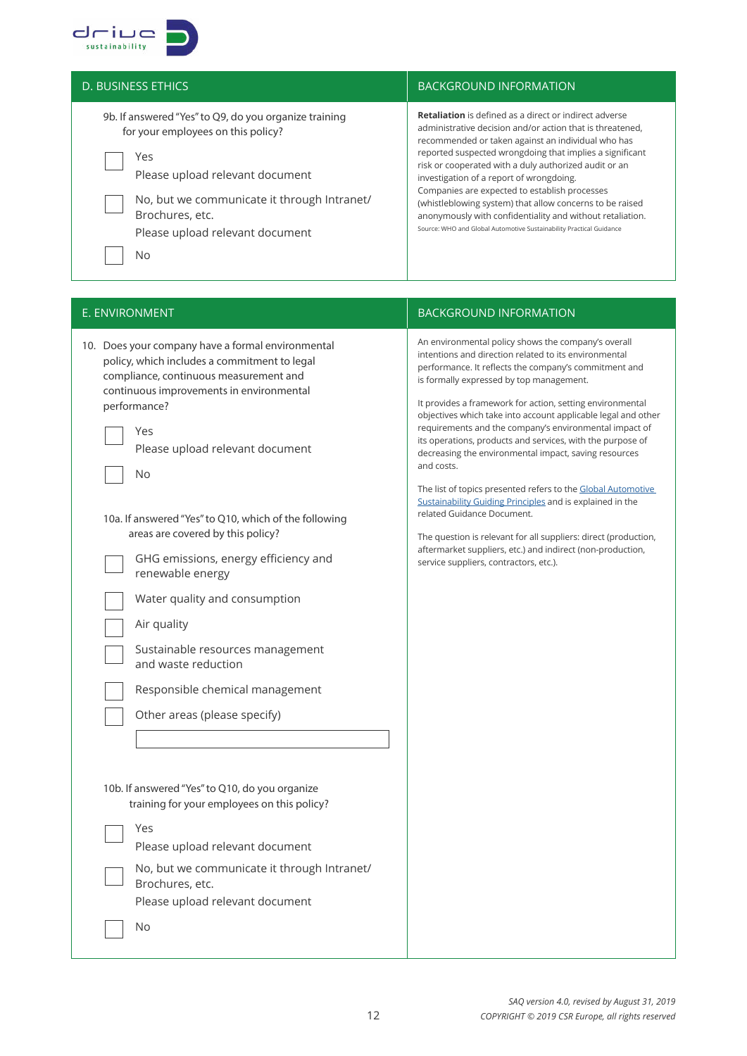

| <b>D. BUSINESS ETHICS</b>                                                                                                                                                                                                                         | <b>BACKGROUND INFORMATION</b>                                                                                                                                                                                                                                                                                                                                                                                                                                                                                                                                                                      |
|---------------------------------------------------------------------------------------------------------------------------------------------------------------------------------------------------------------------------------------------------|----------------------------------------------------------------------------------------------------------------------------------------------------------------------------------------------------------------------------------------------------------------------------------------------------------------------------------------------------------------------------------------------------------------------------------------------------------------------------------------------------------------------------------------------------------------------------------------------------|
| 9b. If answered "Yes" to Q9, do you organize training<br>for your employees on this policy?<br>Yes<br>Please upload relevant document<br>No, but we communicate it through Intranet/<br>Brochures, etc.<br>Please upload relevant document<br>No. | <b>Retaliation</b> is defined as a direct or indirect adverse<br>administrative decision and/or action that is threatened.<br>recommended or taken against an individual who has<br>reported suspected wrongdoing that implies a significant<br>risk or cooperated with a duly authorized audit or an<br>investigation of a report of wrongdoing.<br>Companies are expected to establish processes<br>(whistleblowing system) that allow concerns to be raised<br>anonymously with confidentiality and without retaliation.<br>Source: WHO and Global Automotive Sustainability Practical Guidance |

## E. ENVIRONMENT **BACKGROUND INFORMATION**

| 10. Does your company have a formal environmental<br>policy, which includes a commitment to legal<br>compliance, continuous measurement and<br>continuous improvements in environmental<br>performance?<br>Yes<br>Please upload relevant document<br><b>No</b>                                                                                                                                                                                                                  | An environmental policy shows the company's overall<br>intentions and direction related to its environmental<br>performance. It reflects the company's commitment and<br>is formally expressed by top management.<br>It provides a framework for action, setting environmental<br>objectives which take into account applicable legal and other<br>requirements and the company's environmental impact of<br>its operations, products and services, with the purpose of<br>decreasing the environmental impact, saving resources<br>and costs. |
|---------------------------------------------------------------------------------------------------------------------------------------------------------------------------------------------------------------------------------------------------------------------------------------------------------------------------------------------------------------------------------------------------------------------------------------------------------------------------------|------------------------------------------------------------------------------------------------------------------------------------------------------------------------------------------------------------------------------------------------------------------------------------------------------------------------------------------------------------------------------------------------------------------------------------------------------------------------------------------------------------------------------------------------|
| 10a. If answered "Yes" to Q10, which of the following<br>areas are covered by this policy?<br>GHG emissions, energy efficiency and<br>renewable energy<br>Water quality and consumption<br>Air quality<br>Sustainable resources management<br>and waste reduction<br>Responsible chemical management<br>Other areas (please specify)<br>10b. If answered "Yes" to Q10, do you organize<br>training for your employees on this policy?<br>Yes<br>Please upload relevant document | The list of topics presented refers to the Global Automotive<br>Sustainability Guiding Principles and is explained in the<br>related Guidance Document.<br>The question is relevant for all suppliers: direct (production,<br>aftermarket suppliers, etc.) and indirect (non-production,<br>service suppliers, contractors, etc.).                                                                                                                                                                                                             |

 No, but we communicate it through Intranet/ Brochures, etc. Please upload relevant document

No

# *SAQ version 4.0, revised by August 31, 2019 COPYRIGHT © 2019 CSR Europe, all rights reserved*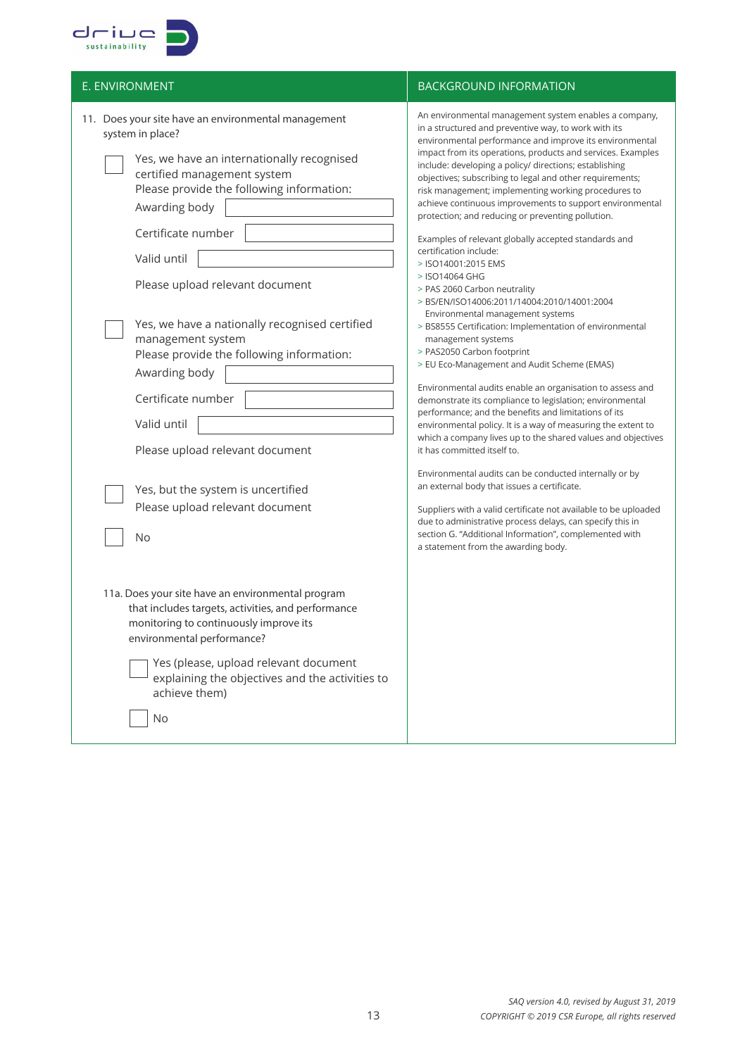

| E. ENVIRONMENT                                                                                                                                                                                                                                                                                                                                                                                                                                                                                                                                                                                                                                                                                                                                                            | <b>BACKGROUND INFORMATION</b>                                                                                                                                                                                                                                                                                                                                                                                                                                                                                                                                                                                                                                                                                                                                                                                                                                                                                                                                                                                                                                                                                                                                                                                                                                                                                                                                                                                                                                                                                                                                                                                                               |
|---------------------------------------------------------------------------------------------------------------------------------------------------------------------------------------------------------------------------------------------------------------------------------------------------------------------------------------------------------------------------------------------------------------------------------------------------------------------------------------------------------------------------------------------------------------------------------------------------------------------------------------------------------------------------------------------------------------------------------------------------------------------------|---------------------------------------------------------------------------------------------------------------------------------------------------------------------------------------------------------------------------------------------------------------------------------------------------------------------------------------------------------------------------------------------------------------------------------------------------------------------------------------------------------------------------------------------------------------------------------------------------------------------------------------------------------------------------------------------------------------------------------------------------------------------------------------------------------------------------------------------------------------------------------------------------------------------------------------------------------------------------------------------------------------------------------------------------------------------------------------------------------------------------------------------------------------------------------------------------------------------------------------------------------------------------------------------------------------------------------------------------------------------------------------------------------------------------------------------------------------------------------------------------------------------------------------------------------------------------------------------------------------------------------------------|
| 11. Does your site have an environmental management<br>system in place?<br>Yes, we have an internationally recognised<br>certified management system<br>Please provide the following information:<br>Awarding body<br>Certificate number<br>Valid until<br>Please upload relevant document<br>Yes, we have a nationally recognised certified<br>management system<br>Please provide the following information:<br>Awarding body<br>Certificate number<br>Valid until<br>Please upload relevant document<br>Yes, but the system is uncertified<br>Please upload relevant document<br>No<br>11a. Does your site have an environmental program<br>that includes targets, activities, and performance<br>monitoring to continuously improve its<br>environmental performance? | An environmental management system enables a company,<br>in a structured and preventive way, to work with its<br>environmental performance and improve its environmental<br>impact from its operations, products and services. Examples<br>include: developing a policy/ directions; establishing<br>objectives; subscribing to legal and other requirements;<br>risk management; implementing working procedures to<br>achieve continuous improvements to support environmental<br>protection; and reducing or preventing pollution.<br>Examples of relevant globally accepted standards and<br>certification include:<br>> ISO14001:2015 EMS<br>> ISO14064 GHG<br>> PAS 2060 Carbon neutrality<br>> BS/EN/ISO14006:2011/14004:2010/14001:2004<br>Environmental management systems<br>> BS8555 Certification: Implementation of environmental<br>management systems<br>> PAS2050 Carbon footprint<br>> EU Eco-Management and Audit Scheme (EMAS)<br>Environmental audits enable an organisation to assess and<br>demonstrate its compliance to legislation; environmental<br>performance; and the benefits and limitations of its<br>environmental policy. It is a way of measuring the extent to<br>which a company lives up to the shared values and objectives<br>it has committed itself to.<br>Environmental audits can be conducted internally or by<br>an external body that issues a certificate.<br>Suppliers with a valid certificate not available to be uploaded<br>due to administrative process delays, can specify this in<br>section G. "Additional Information", complemented with<br>a statement from the awarding body. |
| Yes (please, upload relevant document<br>explaining the objectives and the activities to<br>achieve them)<br><b>No</b>                                                                                                                                                                                                                                                                                                                                                                                                                                                                                                                                                                                                                                                    |                                                                                                                                                                                                                                                                                                                                                                                                                                                                                                                                                                                                                                                                                                                                                                                                                                                                                                                                                                                                                                                                                                                                                                                                                                                                                                                                                                                                                                                                                                                                                                                                                                             |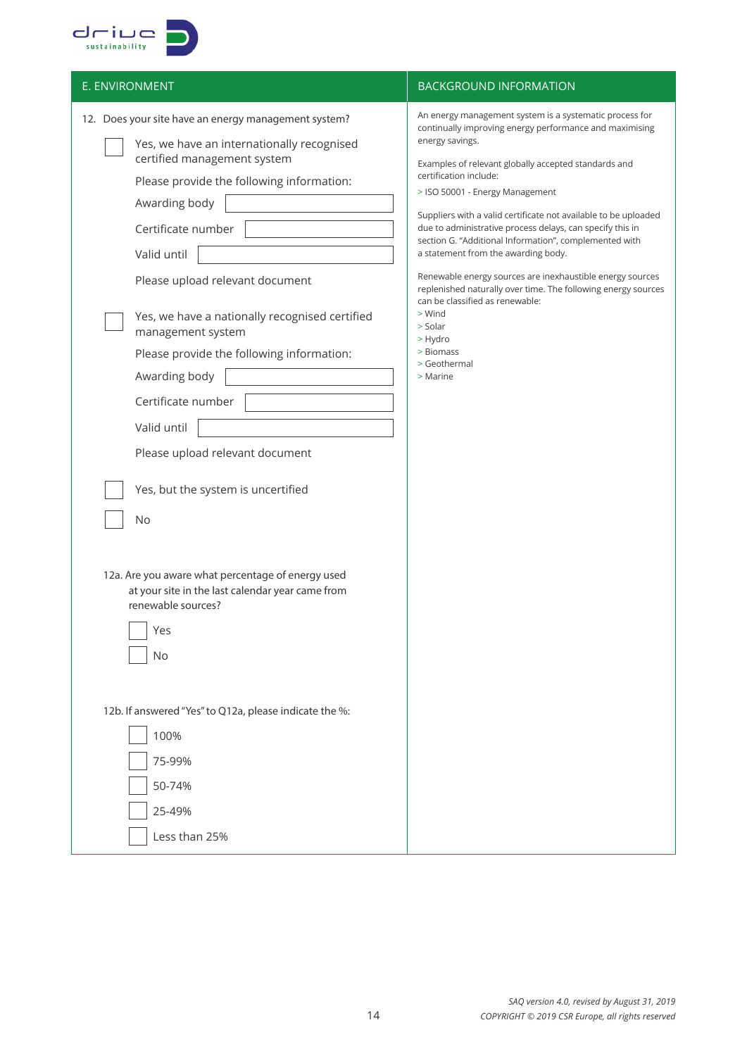

| E. ENVIRONMENT                                                                                                                                                                                                                                                                                                                                                                                                                                                                                                                                                                                                                            | <b>BACKGROUND INFORMATION</b>                                                                                                                                                                                                                                                                                                                                                                                                                                                                                                                                                                                                                                                                                                         |
|-------------------------------------------------------------------------------------------------------------------------------------------------------------------------------------------------------------------------------------------------------------------------------------------------------------------------------------------------------------------------------------------------------------------------------------------------------------------------------------------------------------------------------------------------------------------------------------------------------------------------------------------|---------------------------------------------------------------------------------------------------------------------------------------------------------------------------------------------------------------------------------------------------------------------------------------------------------------------------------------------------------------------------------------------------------------------------------------------------------------------------------------------------------------------------------------------------------------------------------------------------------------------------------------------------------------------------------------------------------------------------------------|
| 12. Does your site have an energy management system?<br>Yes, we have an internationally recognised<br>certified management system<br>Please provide the following information:<br>Awarding body<br>Certificate number<br>Valid until<br>Please upload relevant document<br>Yes, we have a nationally recognised certified<br>management system<br>Please provide the following information:<br>Awarding body<br>Certificate number<br>Valid until<br>Please upload relevant document<br>Yes, but the system is uncertified<br>No<br>12a. Are you aware what percentage of energy used<br>at your site in the last calendar year came from | An energy management system is a systematic process for<br>continually improving energy performance and maximising<br>energy savings.<br>Examples of relevant globally accepted standards and<br>certification include:<br>> ISO 50001 - Energy Management<br>Suppliers with a valid certificate not available to be uploaded<br>due to administrative process delays, can specify this in<br>section G. "Additional Information", complemented with<br>a statement from the awarding body.<br>Renewable energy sources are inexhaustible energy sources<br>replenished naturally over time. The following energy sources<br>can be classified as renewable:<br>> Wind<br>> Solar<br>> Hydro<br>> Biomass<br>> Geothermal<br>> Marine |
| renewable sources?<br>Yes<br>No                                                                                                                                                                                                                                                                                                                                                                                                                                                                                                                                                                                                           |                                                                                                                                                                                                                                                                                                                                                                                                                                                                                                                                                                                                                                                                                                                                       |
| 12b. If answered "Yes" to Q12a, please indicate the %:<br>100%<br>75-99%<br>50-74%<br>25-49%<br>Less than 25%                                                                                                                                                                                                                                                                                                                                                                                                                                                                                                                             |                                                                                                                                                                                                                                                                                                                                                                                                                                                                                                                                                                                                                                                                                                                                       |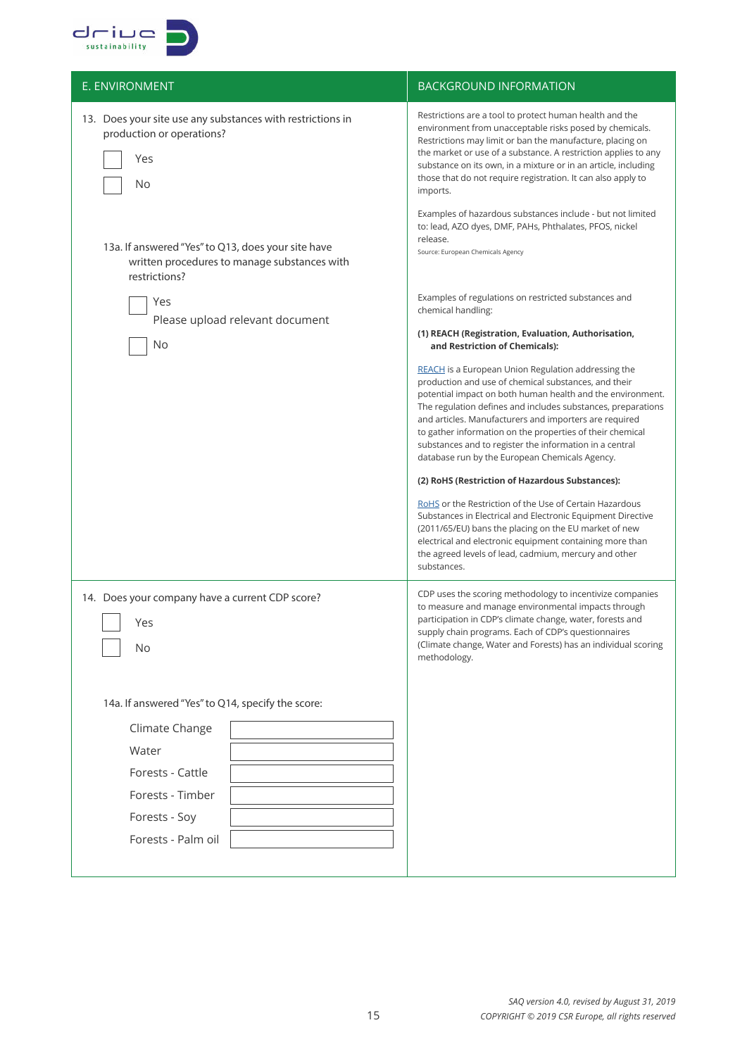

| E. ENVIRONMENT                                                                                                      | <b>BACKGROUND INFORMATION</b>                                                                                                                                                                                                                                                                                                                                                                                                                                                                                                                                                                                                                                                                                                                                                                                                                                  |
|---------------------------------------------------------------------------------------------------------------------|----------------------------------------------------------------------------------------------------------------------------------------------------------------------------------------------------------------------------------------------------------------------------------------------------------------------------------------------------------------------------------------------------------------------------------------------------------------------------------------------------------------------------------------------------------------------------------------------------------------------------------------------------------------------------------------------------------------------------------------------------------------------------------------------------------------------------------------------------------------|
| 13. Does your site use any substances with restrictions in<br>production or operations?<br>Yes<br>No                | Restrictions are a tool to protect human health and the<br>environment from unacceptable risks posed by chemicals.<br>Restrictions may limit or ban the manufacture, placing on<br>the market or use of a substance. A restriction applies to any<br>substance on its own, in a mixture or in an article, including<br>those that do not require registration. It can also apply to<br>imports.                                                                                                                                                                                                                                                                                                                                                                                                                                                                |
| 13a. If answered "Yes" to Q13, does your site have<br>written procedures to manage substances with<br>restrictions? | Examples of hazardous substances include - but not limited<br>to: lead, AZO dyes, DMF, PAHs, Phthalates, PFOS, nickel<br>release.<br>Source: European Chemicals Agency                                                                                                                                                                                                                                                                                                                                                                                                                                                                                                                                                                                                                                                                                         |
| Yes<br>Please upload relevant document                                                                              | Examples of regulations on restricted substances and<br>chemical handling:                                                                                                                                                                                                                                                                                                                                                                                                                                                                                                                                                                                                                                                                                                                                                                                     |
| No                                                                                                                  | (1) REACH (Registration, Evaluation, Authorisation,<br>and Restriction of Chemicals):                                                                                                                                                                                                                                                                                                                                                                                                                                                                                                                                                                                                                                                                                                                                                                          |
|                                                                                                                     | <b>REACH</b> is a European Union Regulation addressing the<br>production and use of chemical substances, and their<br>potential impact on both human health and the environment.<br>The regulation defines and includes substances, preparations<br>and articles. Manufacturers and importers are required<br>to gather information on the properties of their chemical<br>substances and to register the information in a central<br>database run by the European Chemicals Agency.<br>(2) RoHS (Restriction of Hazardous Substances):<br>RoHS or the Restriction of the Use of Certain Hazardous<br>Substances in Electrical and Electronic Equipment Directive<br>(2011/65/EU) bans the placing on the EU market of new<br>electrical and electronic equipment containing more than<br>the agreed levels of lead, cadmium, mercury and other<br>substances. |
| 14. Does your company have a current CDP score?<br>Yes<br><b>No</b>                                                 | CDP uses the scoring methodology to incentivize companies<br>to measure and manage environmental impacts through<br>participation in CDP's climate change, water, forests and<br>supply chain programs. Each of CDP's questionnaires<br>(Climate change, Water and Forests) has an individual scoring<br>methodology.                                                                                                                                                                                                                                                                                                                                                                                                                                                                                                                                          |
| 14a. If answered "Yes" to Q14, specify the score:                                                                   |                                                                                                                                                                                                                                                                                                                                                                                                                                                                                                                                                                                                                                                                                                                                                                                                                                                                |
| Climate Change                                                                                                      |                                                                                                                                                                                                                                                                                                                                                                                                                                                                                                                                                                                                                                                                                                                                                                                                                                                                |
| Water                                                                                                               |                                                                                                                                                                                                                                                                                                                                                                                                                                                                                                                                                                                                                                                                                                                                                                                                                                                                |
| Forests - Cattle<br>Forests - Timber                                                                                |                                                                                                                                                                                                                                                                                                                                                                                                                                                                                                                                                                                                                                                                                                                                                                                                                                                                |
| Forests - Soy                                                                                                       |                                                                                                                                                                                                                                                                                                                                                                                                                                                                                                                                                                                                                                                                                                                                                                                                                                                                |
| Forests - Palm oil                                                                                                  |                                                                                                                                                                                                                                                                                                                                                                                                                                                                                                                                                                                                                                                                                                                                                                                                                                                                |
|                                                                                                                     |                                                                                                                                                                                                                                                                                                                                                                                                                                                                                                                                                                                                                                                                                                                                                                                                                                                                |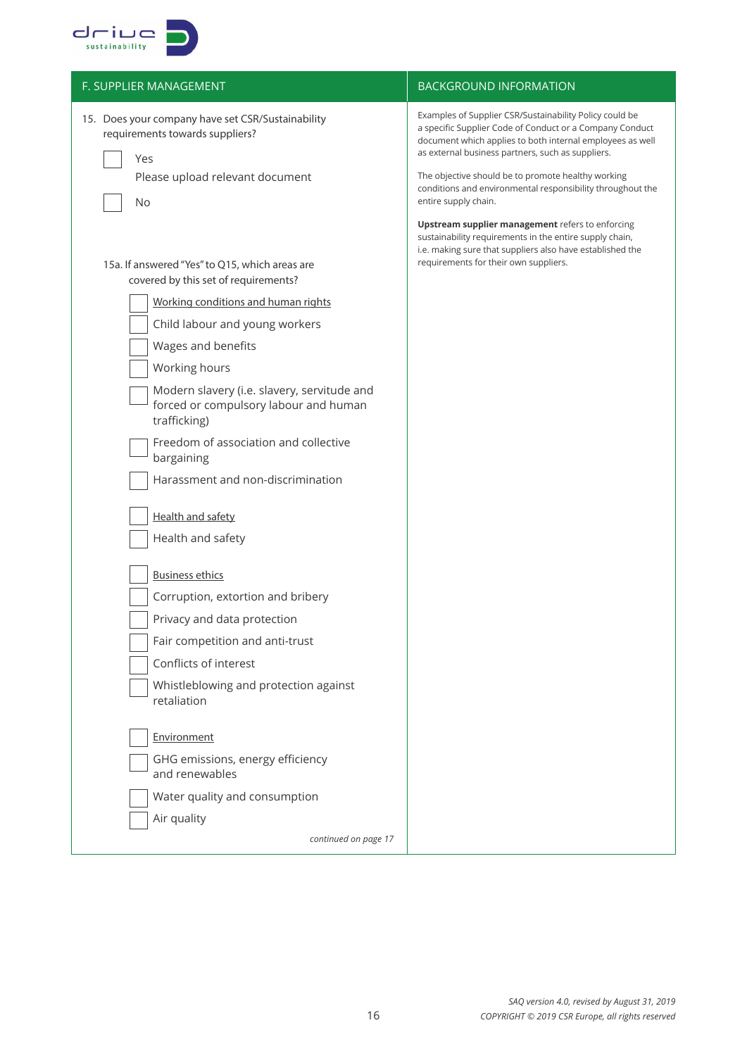

| F. SUPPLIER MANAGEMENT                                                                               | <b>BACKGROUND INFORMATION</b>                                                                                                                                                                                                         |
|------------------------------------------------------------------------------------------------------|---------------------------------------------------------------------------------------------------------------------------------------------------------------------------------------------------------------------------------------|
| 15. Does your company have set CSR/Sustainability<br>requirements towards suppliers?<br>Yes          | Examples of Supplier CSR/Sustainability Policy could be<br>a specific Supplier Code of Conduct or a Company Conduct<br>document which applies to both internal employees as well<br>as external business partners, such as suppliers. |
| Please upload relevant document<br>No                                                                | The objective should be to promote healthy working<br>conditions and environmental responsibility throughout the<br>entire supply chain.                                                                                              |
| 15a. If answered "Yes" to Q15, which areas are<br>covered by this set of requirements?               | Upstream supplier management refers to enforcing<br>sustainability requirements in the entire supply chain,<br>i.e. making sure that suppliers also have established the<br>requirements for their own suppliers.                     |
| Working conditions and human rights                                                                  |                                                                                                                                                                                                                                       |
| Child labour and young workers                                                                       |                                                                                                                                                                                                                                       |
| Wages and benefits                                                                                   |                                                                                                                                                                                                                                       |
| Working hours                                                                                        |                                                                                                                                                                                                                                       |
| Modern slavery (i.e. slavery, servitude and<br>forced or compulsory labour and human<br>trafficking) |                                                                                                                                                                                                                                       |
| Freedom of association and collective<br>bargaining                                                  |                                                                                                                                                                                                                                       |
| Harassment and non-discrimination                                                                    |                                                                                                                                                                                                                                       |
| <b>Health and safety</b>                                                                             |                                                                                                                                                                                                                                       |
| Health and safety                                                                                    |                                                                                                                                                                                                                                       |
| <b>Business ethics</b>                                                                               |                                                                                                                                                                                                                                       |
| Corruption, extortion and bribery                                                                    |                                                                                                                                                                                                                                       |
| Privacy and data protection                                                                          |                                                                                                                                                                                                                                       |
| Fair competition and anti-trust                                                                      |                                                                                                                                                                                                                                       |
| Conflicts of interest                                                                                |                                                                                                                                                                                                                                       |
| Whistleblowing and protection against<br>retaliation                                                 |                                                                                                                                                                                                                                       |
| Environment                                                                                          |                                                                                                                                                                                                                                       |
| GHG emissions, energy efficiency<br>and renewables                                                   |                                                                                                                                                                                                                                       |
| Water quality and consumption                                                                        |                                                                                                                                                                                                                                       |
| Air quality                                                                                          |                                                                                                                                                                                                                                       |
| continued on page 17                                                                                 |                                                                                                                                                                                                                                       |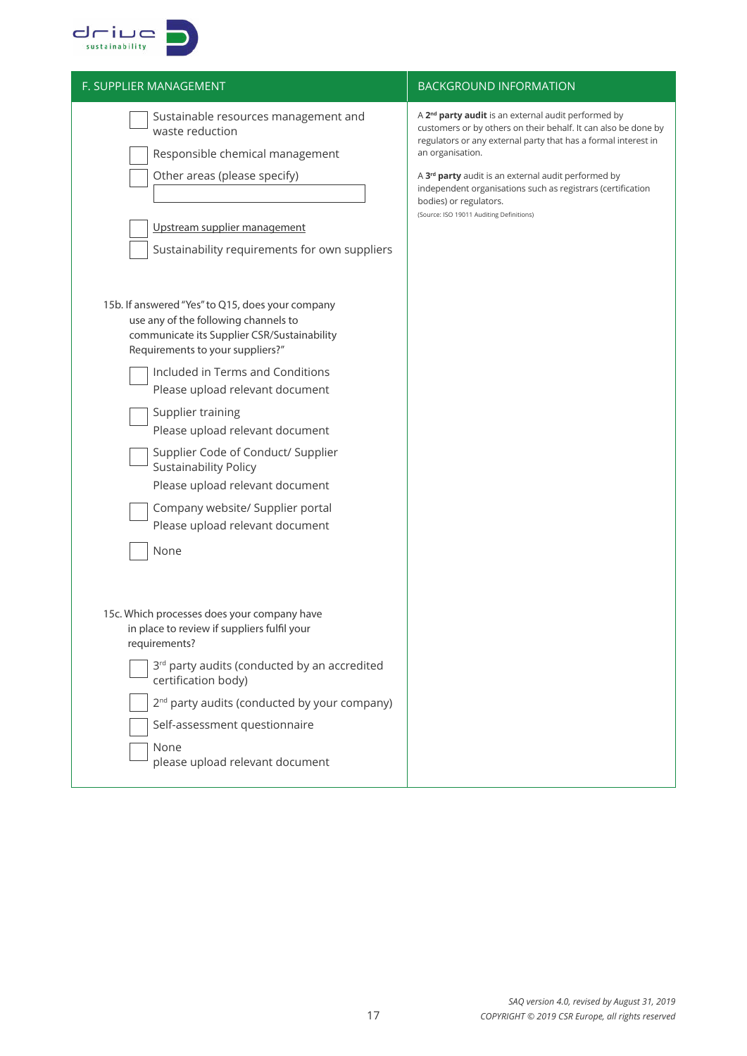

| A 2 <sup>nd</sup> party audit is an external audit performed by<br>customers or by others on their behalf. It can also be done by<br>regulators or any external party that has a formal interest in<br>an organisation.<br>A 3 <sup>rd</sup> party audit is an external audit performed by<br>independent organisations such as registrars (certification<br>bodies) or regulators.<br>(Source: ISO 19011 Auditing Definitions) |
|---------------------------------------------------------------------------------------------------------------------------------------------------------------------------------------------------------------------------------------------------------------------------------------------------------------------------------------------------------------------------------------------------------------------------------|
|                                                                                                                                                                                                                                                                                                                                                                                                                                 |
|                                                                                                                                                                                                                                                                                                                                                                                                                                 |
|                                                                                                                                                                                                                                                                                                                                                                                                                                 |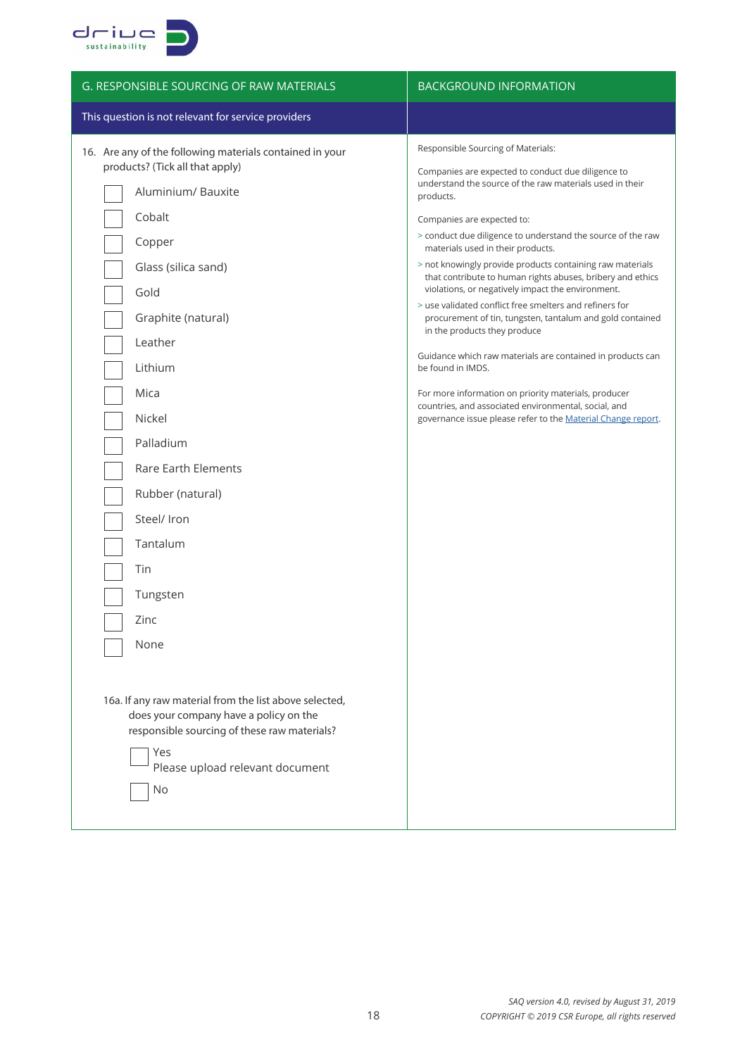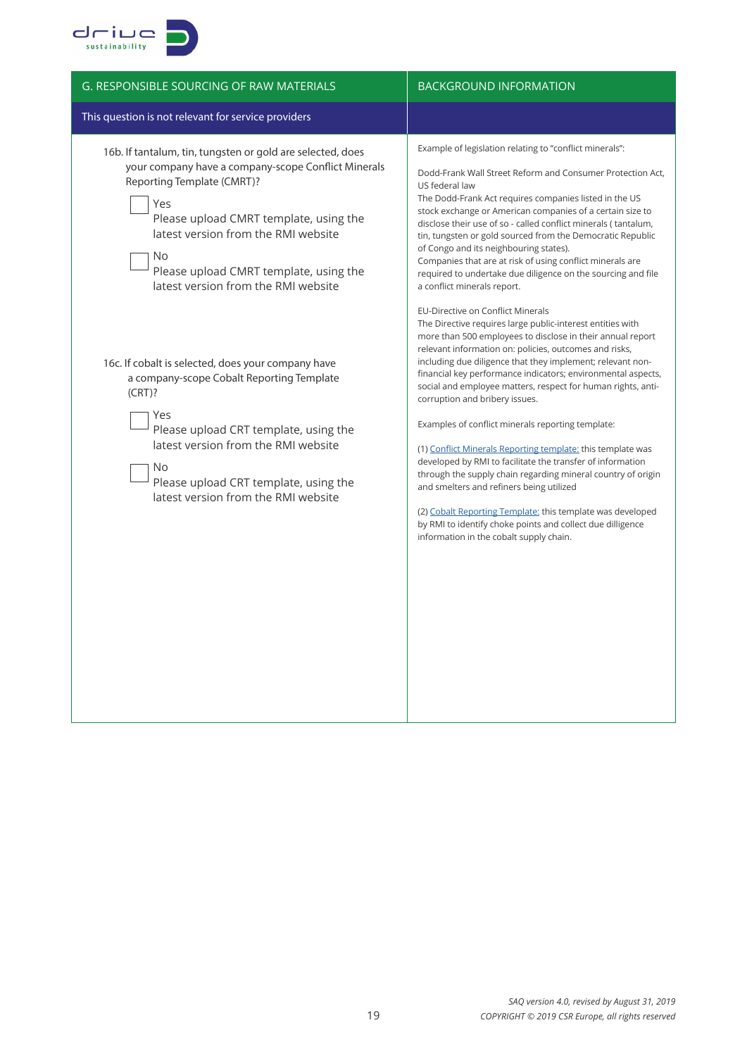

| <b>G. RESPONSIBLE SOURCING OF RAW MATERIALS</b>                                                                                                                                                                                                                                                                                 | <b>BACKGROUND INFORMATION</b>                                                                                                                                                                                                                                                                                                                                                                                                                                                                                                                                                                                                                                                                                                                                                                                                                                                                                                |  |  |
|---------------------------------------------------------------------------------------------------------------------------------------------------------------------------------------------------------------------------------------------------------------------------------------------------------------------------------|------------------------------------------------------------------------------------------------------------------------------------------------------------------------------------------------------------------------------------------------------------------------------------------------------------------------------------------------------------------------------------------------------------------------------------------------------------------------------------------------------------------------------------------------------------------------------------------------------------------------------------------------------------------------------------------------------------------------------------------------------------------------------------------------------------------------------------------------------------------------------------------------------------------------------|--|--|
| This question is not relevant for service providers                                                                                                                                                                                                                                                                             |                                                                                                                                                                                                                                                                                                                                                                                                                                                                                                                                                                                                                                                                                                                                                                                                                                                                                                                              |  |  |
| 16b. If tantalum, tin, tungsten or gold are selected, does<br>your company have a company-scope Conflict Minerals<br>Reporting Template (CMRT)?<br>Yes<br>Please upload CMRT template, using the<br>latest version from the RMI website<br>No.<br>Please upload CMRT template, using the<br>latest version from the RMI website | Example of legislation relating to "conflict minerals":<br>Dodd-Frank Wall Street Reform and Consumer Protection Act,<br>US federal law<br>The Dodd-Frank Act requires companies listed in the US<br>stock exchange or American companies of a certain size to<br>disclose their use of so - called conflict minerals (tantalum,<br>tin, tungsten or gold sourced from the Democratic Republic<br>of Congo and its neighbouring states).<br>Companies that are at risk of using conflict minerals are<br>required to undertake due diligence on the sourcing and file<br>a conflict minerals report.                                                                                                                                                                                                                                                                                                                         |  |  |
| 16c. If cobalt is selected, does your company have<br>a company-scope Cobalt Reporting Template<br>$(CRT)$ ?<br>Yes<br>Please upload CRT template, using the<br>latest version from the RMI website<br>No.<br>Please upload CRT template, using the<br>latest version from the RMI website                                      | EU-Directive on Conflict Minerals<br>The Directive requires large public-interest entities with<br>more than 500 employees to disclose in their annual report<br>relevant information on: policies, outcomes and risks,<br>including due diligence that they implement; relevant non-<br>financial key performance indicators; environmental aspects,<br>social and employee matters, respect for human rights, anti-<br>corruption and bribery issues.<br>Examples of conflict minerals reporting template:<br>(1) Conflict Minerals Reporting template: this template was<br>developed by RMI to facilitate the transfer of information<br>through the supply chain regarding mineral country of origin<br>and smelters and refiners being utilized<br>(2) Cobalt Reporting Template: this template was developed<br>by RMI to identify choke points and collect due dilligence<br>information in the cobalt supply chain. |  |  |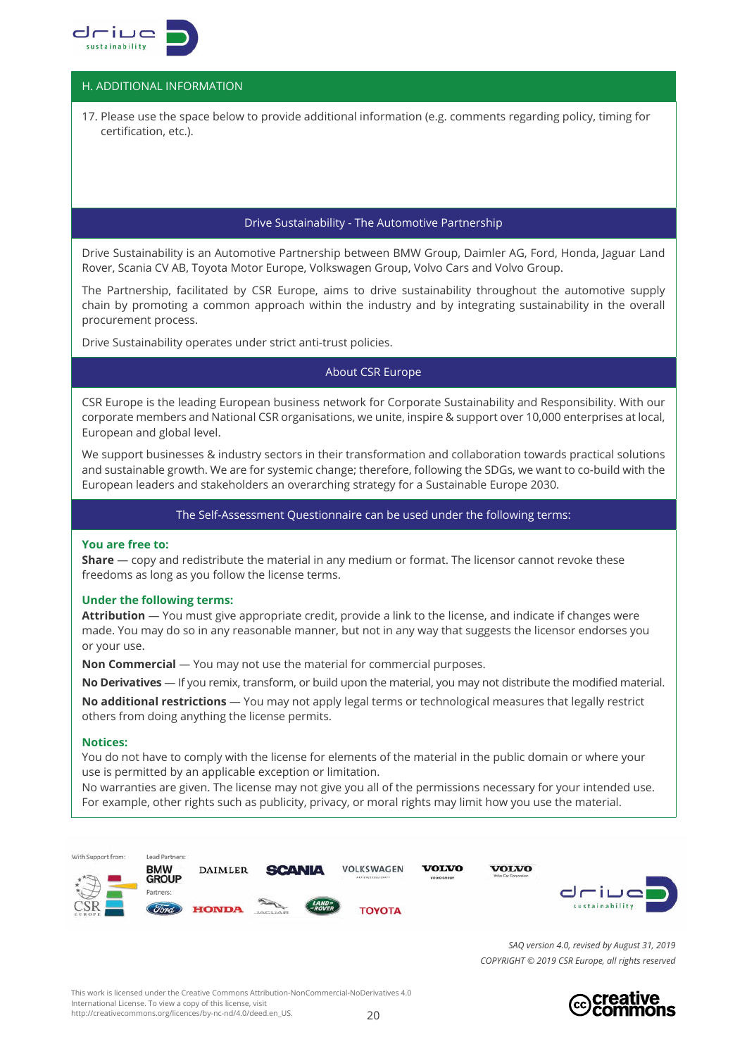

# H. ADDITIONAL INFORMATION

17. Please use the space below to provide additional information (e.g. comments regarding policy, timing for certification, etc.).

## Drive Sustainability - The Automotive Partnership

Drive Sustainability is an Automotive Partnership between BMW Group, Daimler AG, Ford, Honda, Jaguar Land Rover, Scania CV AB, Toyota Motor Europe, Volkswagen Group, Volvo Cars and Volvo Group.

The Partnership, facilitated by CSR Europe, aims to drive sustainability throughout the automotive supply chain by promoting a common approach within the industry and by integrating sustainability in the overall procurement process.

Drive Sustainability operates under strict anti-trust policies.

#### About CSR Europe

CSR Europe is the leading European business network for Corporate Sustainability and Responsibility. With our corporate members and National CSR organisations, we unite, inspire & support over 10,000 enterprises at local, European and global level.

We support businesses & industry sectors in their transformation and collaboration towards practical solutions and sustainable growth. We are for systemic change; therefore, following the SDGs, we want to co-build with the European leaders and stakeholders an overarching strategy for a Sustainable Europe 2030.

The Self-Assessment Questionnaire can be used under the following terms:

#### **You are free to:**

**Share** — copy and redistribute the material in any medium or format. The licensor cannot revoke these freedoms as long as you follow the license terms.

#### **Under the following terms:**

**Attribution** — You must give appropriate credit, provide a link to the license, and indicate if changes were made. You may do so in any reasonable manner, but not in any way that suggests the licensor endorses you or your use.

**Non Commercial** — You may not use the material for commercial purposes.

**No Derivatives** — If you remix, transform, or build upon the material, you may not distribute the modified material. **No additional restrictions** — You may not apply legal terms or technological measures that legally restrict others from doing anything the license permits.

#### **Notices:**

You do not have to comply with the license for elements of the material in the public domain or where your use is permitted by an applicable exception or limitation.

No warranties are given. The license may not give you all of the permissions necessary for your intended use. For example, other rights such as publicity, privacy, or moral rights may limit how you use the material.



*SAQ version 4.0, revised by August 31, 2019 COPYRIGHT © 2019 CSR Europe, all rights reserved*

 $20$ This work is licensed under the Creative Commons Attribution-NonCommercial-NoDerivatives 4.0 International License. To view a copy of this license, visit http://creativecommons.org/licences/by-nc-nd/4.0/deed.en\_US.

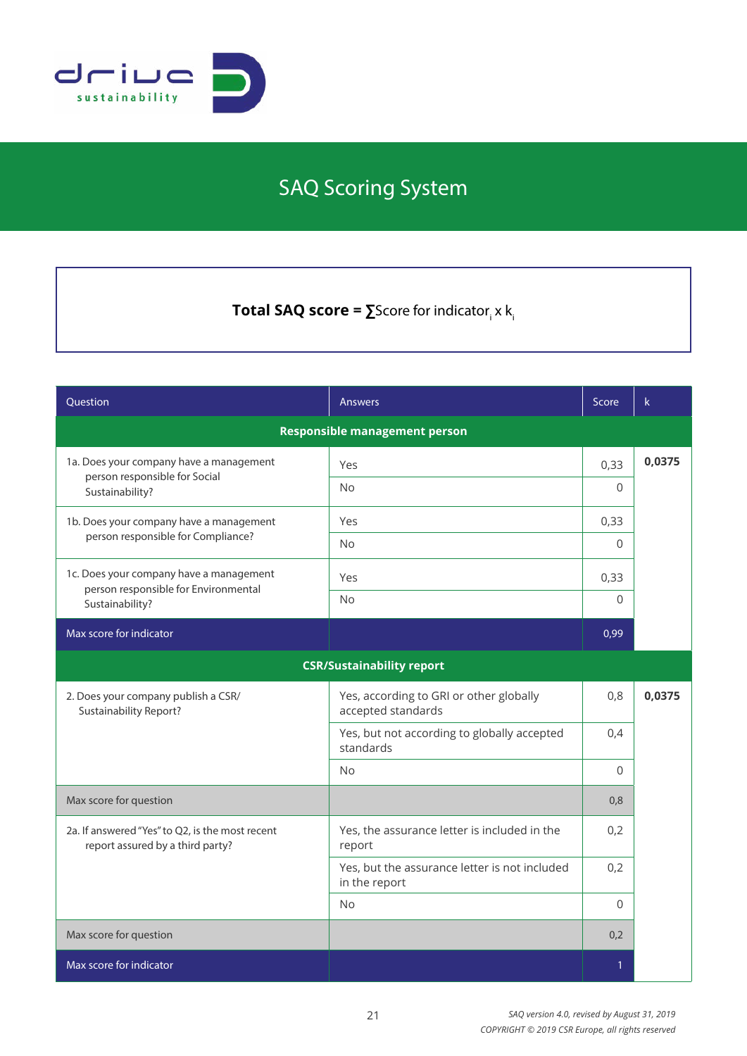

# SAQ Scoring System

 $\textsf{Total SAQ score} = \sum \textsf{Score} \text{ for indicator}_i \times \textsf{k}_i$ 

| Question                                                                            | <b>Answers</b>                                                 | Score    | $\mathsf k$ |
|-------------------------------------------------------------------------------------|----------------------------------------------------------------|----------|-------------|
| <b>Responsible management person</b>                                                |                                                                |          |             |
| 1a. Does your company have a management<br>person responsible for Social            | Yes                                                            | 0,33     | 0,0375      |
| Sustainability?                                                                     | <b>No</b>                                                      | $\Omega$ |             |
| 1b. Does your company have a management                                             | Yes                                                            | 0,33     |             |
| person responsible for Compliance?                                                  | <b>No</b>                                                      | $\Omega$ |             |
| 1c. Does your company have a management<br>person responsible for Environmental     | Yes                                                            | 0,33     |             |
| Sustainability?                                                                     | <b>No</b>                                                      | $\Omega$ |             |
| Max score for indicator                                                             |                                                                | 0,99     |             |
|                                                                                     | <b>CSR/Sustainability report</b>                               |          |             |
| 2. Does your company publish a CSR/<br>Sustainability Report?                       | Yes, according to GRI or other globally<br>accepted standards  | 0,8      | 0,0375      |
|                                                                                     | Yes, but not according to globally accepted<br>standards       | 0,4      |             |
|                                                                                     | <b>No</b>                                                      | $\Omega$ |             |
| Max score for question                                                              |                                                                | 0,8      |             |
| 2a. If answered "Yes" to Q2, is the most recent<br>report assured by a third party? | Yes, the assurance letter is included in the<br>report         | 0,2      |             |
|                                                                                     | Yes, but the assurance letter is not included<br>in the report | 0,2      |             |
|                                                                                     | <b>No</b>                                                      | $\Omega$ |             |
| Max score for question                                                              |                                                                | 0,2      |             |
| Max score for indicator                                                             |                                                                | 1        |             |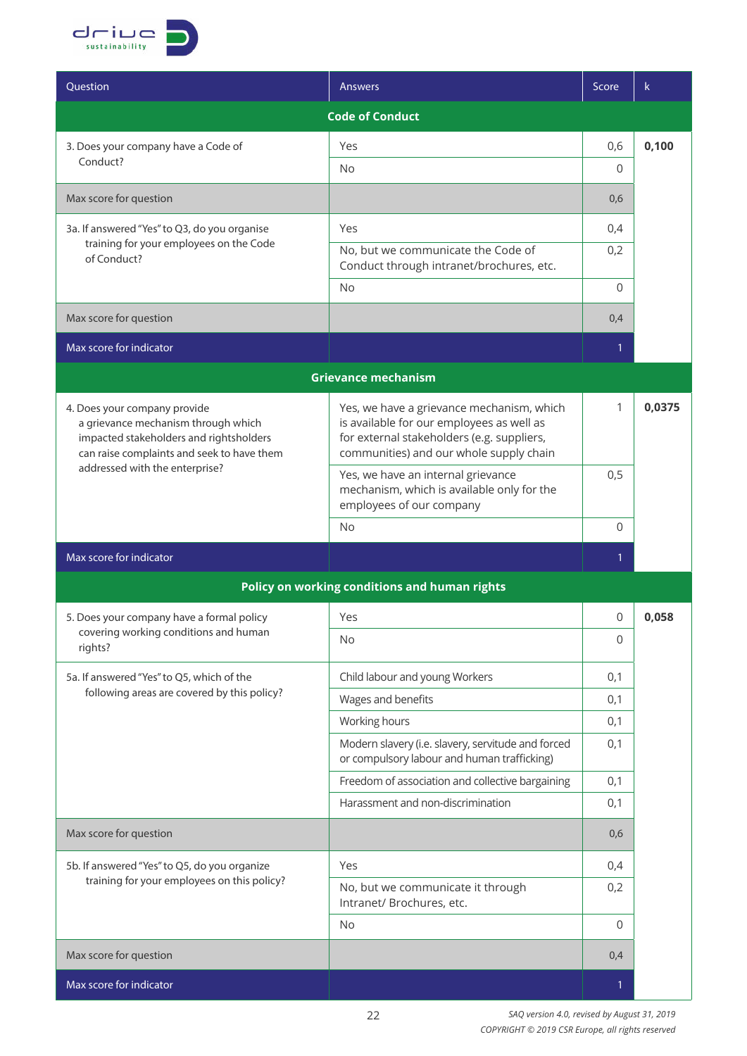

| Question                                                                                                                                                                                       | Answers                                                                                                                                                                         | Score          | $\mathsf k$ |  |
|------------------------------------------------------------------------------------------------------------------------------------------------------------------------------------------------|---------------------------------------------------------------------------------------------------------------------------------------------------------------------------------|----------------|-------------|--|
|                                                                                                                                                                                                | <b>Code of Conduct</b>                                                                                                                                                          |                |             |  |
| 3. Does your company have a Code of                                                                                                                                                            | Yes                                                                                                                                                                             | 0,6            | 0,100       |  |
| Conduct?                                                                                                                                                                                       | No                                                                                                                                                                              | $\Omega$       |             |  |
| Max score for question                                                                                                                                                                         |                                                                                                                                                                                 | 0,6            |             |  |
| 3a. If answered "Yes" to Q3, do you organise                                                                                                                                                   | Yes                                                                                                                                                                             | 0,4            |             |  |
| training for your employees on the Code<br>of Conduct?                                                                                                                                         | No, but we communicate the Code of<br>Conduct through intranet/brochures, etc.                                                                                                  | 0,2            |             |  |
|                                                                                                                                                                                                | <b>No</b>                                                                                                                                                                       | $\Omega$       |             |  |
| Max score for question                                                                                                                                                                         |                                                                                                                                                                                 | 0,4            |             |  |
| Max score for indicator                                                                                                                                                                        |                                                                                                                                                                                 | $\mathbf{1}$   |             |  |
|                                                                                                                                                                                                | <b>Grievance mechanism</b>                                                                                                                                                      |                |             |  |
| 4. Does your company provide<br>a grievance mechanism through which<br>impacted stakeholders and rightsholders<br>can raise complaints and seek to have them<br>addressed with the enterprise? | Yes, we have a grievance mechanism, which<br>is available for our employees as well as<br>for external stakeholders (e.g. suppliers,<br>communities) and our whole supply chain | 1              | 0,0375      |  |
|                                                                                                                                                                                                | Yes, we have an internal grievance<br>mechanism, which is available only for the<br>employees of our company                                                                    | 0,5            |             |  |
|                                                                                                                                                                                                | No                                                                                                                                                                              | $\Omega$       |             |  |
| Max score for indicator                                                                                                                                                                        |                                                                                                                                                                                 | 1              |             |  |
|                                                                                                                                                                                                | Policy on working conditions and human rights                                                                                                                                   |                |             |  |
| 5. Does your company have a formal policy                                                                                                                                                      | Yes                                                                                                                                                                             | 0              | 0,058       |  |
| covering working conditions and human<br>rights?                                                                                                                                               | No                                                                                                                                                                              | $\overline{0}$ |             |  |
| 5a. If answered "Yes" to Q5, which of the                                                                                                                                                      | Child labour and young Workers                                                                                                                                                  | 0,1            |             |  |
| following areas are covered by this policy?                                                                                                                                                    | Wages and benefits                                                                                                                                                              | 0,1            |             |  |
|                                                                                                                                                                                                | Working hours                                                                                                                                                                   | 0,1            |             |  |
|                                                                                                                                                                                                | Modern slavery (i.e. slavery, servitude and forced<br>or compulsory labour and human trafficking)                                                                               | 0,1            |             |  |
|                                                                                                                                                                                                | Freedom of association and collective bargaining                                                                                                                                | 0,1            |             |  |
|                                                                                                                                                                                                | Harassment and non-discrimination                                                                                                                                               | 0,1            |             |  |
| Max score for question                                                                                                                                                                         |                                                                                                                                                                                 | 0,6            |             |  |
| 5b. If answered "Yes" to Q5, do you organize                                                                                                                                                   | Yes                                                                                                                                                                             | 0,4            |             |  |
| training for your employees on this policy?                                                                                                                                                    | No, but we communicate it through<br>Intranet/ Brochures, etc.                                                                                                                  | 0,2            |             |  |
|                                                                                                                                                                                                | <b>No</b>                                                                                                                                                                       | $\Omega$       |             |  |
| Max score for question                                                                                                                                                                         |                                                                                                                                                                                 | 0,4            |             |  |
| Max score for indicator                                                                                                                                                                        |                                                                                                                                                                                 | 1              |             |  |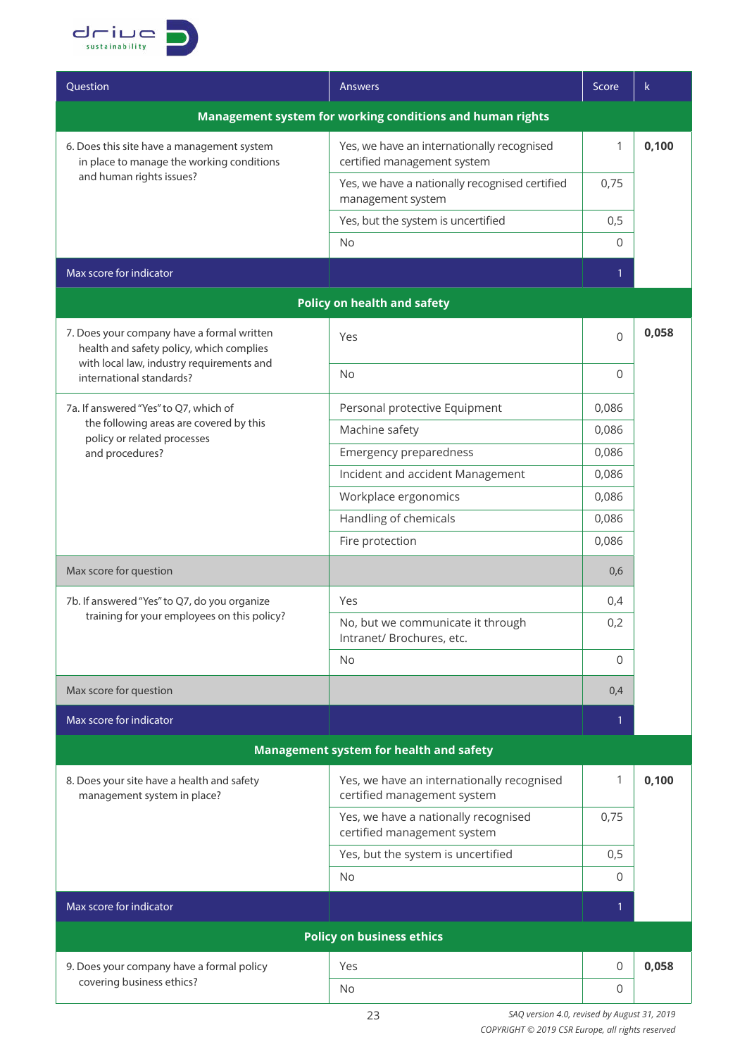

| Ouestion                                                                                                            | <b>Answers</b>                                                            | Score        | k     |
|---------------------------------------------------------------------------------------------------------------------|---------------------------------------------------------------------------|--------------|-------|
| Management system for working conditions and human rights                                                           |                                                                           |              |       |
| 6. Does this site have a management system<br>in place to manage the working conditions<br>and human rights issues? | Yes, we have an internationally recognised<br>certified management system | 1            | 0,100 |
|                                                                                                                     | Yes, we have a nationally recognised certified<br>management system       | 0,75         |       |
|                                                                                                                     | Yes, but the system is uncertified                                        | 0,5          |       |
|                                                                                                                     | No                                                                        | 0            |       |
| Max score for indicator                                                                                             |                                                                           | $\mathbf{1}$ |       |
|                                                                                                                     | <b>Policy on health and safety</b>                                        |              |       |
| 7. Does your company have a formal written<br>health and safety policy, which complies                              | Yes                                                                       | $\Omega$     | 0,058 |
| with local law, industry requirements and<br>international standards?                                               | <b>No</b>                                                                 | 0            |       |
| 7a. If answered "Yes" to Q7, which of                                                                               | Personal protective Equipment                                             | 0,086        |       |
| the following areas are covered by this<br>policy or related processes                                              | Machine safety                                                            | 0,086        |       |
| and procedures?                                                                                                     | Emergency preparedness                                                    | 0,086        |       |
|                                                                                                                     | Incident and accident Management                                          | 0,086        |       |
|                                                                                                                     | Workplace ergonomics                                                      | 0,086        |       |
|                                                                                                                     | Handling of chemicals                                                     | 0,086        |       |
|                                                                                                                     | Fire protection                                                           | 0,086        |       |
| Max score for question                                                                                              |                                                                           | 0,6          |       |
| 7b. If answered "Yes" to Q7, do you organize                                                                        | Yes                                                                       | 0,4          |       |
| training for your employees on this policy?                                                                         | No, but we communicate it through<br>Intranet/ Brochures, etc.            | 0,2          |       |
|                                                                                                                     | No                                                                        | $\Omega$     |       |
| Max score for question                                                                                              |                                                                           | 0,4          |       |
| Max score for indicator                                                                                             |                                                                           | 1            |       |
| Management system for health and safety                                                                             |                                                                           |              |       |
| 8. Does your site have a health and safety<br>management system in place?                                           | Yes, we have an internationally recognised<br>certified management system | 1            | 0,100 |
|                                                                                                                     | Yes, we have a nationally recognised<br>certified management system       | 0,75         |       |
|                                                                                                                     | Yes, but the system is uncertified                                        | 0,5          |       |
|                                                                                                                     | No.                                                                       | 0            |       |
| Max score for indicator                                                                                             |                                                                           | 1            |       |
|                                                                                                                     | <b>Policy on business ethics</b>                                          |              |       |
| 9. Does your company have a formal policy                                                                           | Yes                                                                       | 0            | 0,058 |
| covering business ethics?                                                                                           | No                                                                        | 0            |       |
|                                                                                                                     |                                                                           |              |       |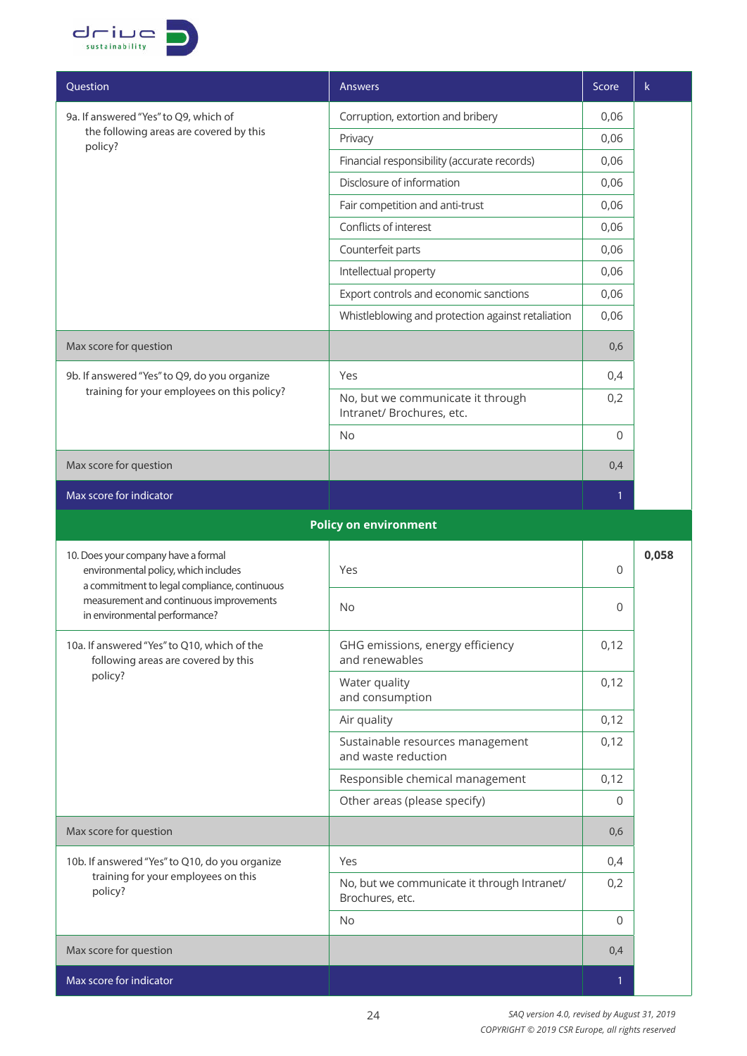

| Question                                                                                                                    | <b>Answers</b>                                                 | Score | k.    |
|-----------------------------------------------------------------------------------------------------------------------------|----------------------------------------------------------------|-------|-------|
| 9a. If answered "Yes" to Q9, which of                                                                                       | Corruption, extortion and bribery                              | 0,06  |       |
| the following areas are covered by this<br>policy?                                                                          | Privacy                                                        | 0,06  |       |
|                                                                                                                             | Financial responsibility (accurate records)                    | 0,06  |       |
|                                                                                                                             | Disclosure of information                                      | 0,06  |       |
|                                                                                                                             | Fair competition and anti-trust                                | 0,06  |       |
|                                                                                                                             | Conflicts of interest                                          | 0,06  |       |
|                                                                                                                             | Counterfeit parts                                              | 0,06  |       |
|                                                                                                                             | Intellectual property                                          | 0,06  |       |
|                                                                                                                             | Export controls and economic sanctions                         | 0,06  |       |
|                                                                                                                             | Whistleblowing and protection against retaliation              | 0,06  |       |
| Max score for question                                                                                                      |                                                                | 0,6   |       |
| 9b. If answered "Yes" to Q9, do you organize                                                                                | Yes                                                            | 0,4   |       |
| training for your employees on this policy?                                                                                 | No, but we communicate it through<br>Intranet/ Brochures, etc. | 0,2   |       |
|                                                                                                                             | <b>No</b>                                                      | 0     |       |
| Max score for question                                                                                                      |                                                                | 0,4   |       |
| Max score for indicator                                                                                                     |                                                                | 1     |       |
|                                                                                                                             | <b>Policy on environment</b>                                   |       |       |
| 10. Does your company have a formal<br>environmental policy, which includes<br>a commitment to legal compliance, continuous | Yes                                                            | 0     | 0,058 |
| measurement and continuous improvements<br>in environmental performance?                                                    | No                                                             | 0     |       |
| 10a. If answered "Yes" to Q10, which of the<br>following areas are covered by this                                          | GHG emissions, energy efficiency<br>and renewables             | 0,12  |       |
| policy?                                                                                                                     | Water quality<br>and consumption                               | 0,12  |       |
|                                                                                                                             | Air quality                                                    | 0,12  |       |
|                                                                                                                             | Sustainable resources management<br>and waste reduction        | 0,12  |       |
|                                                                                                                             | Responsible chemical management                                | 0,12  |       |
|                                                                                                                             | Other areas (please specify)                                   | 0     |       |
| Max score for question                                                                                                      |                                                                | 0,6   |       |
| 10b. If answered "Yes" to Q10, do you organize<br>training for your employees on this<br>policy?                            | Yes                                                            | 0,4   |       |
|                                                                                                                             | No, but we communicate it through Intranet/<br>Brochures, etc. | 0,2   |       |
|                                                                                                                             | No                                                             | 0     |       |
| Max score for question                                                                                                      |                                                                | 0,4   |       |
| Max score for indicator                                                                                                     |                                                                | 1     |       |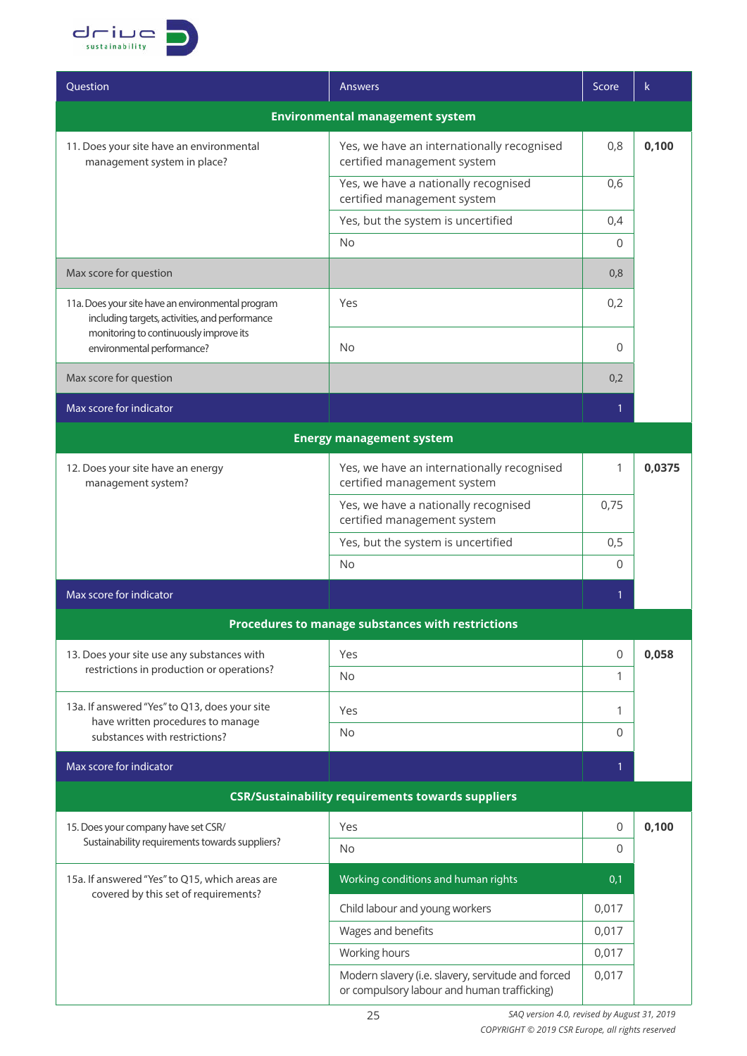

| Ouestion                                                                                                                                                                    | <b>Answers</b>                                                                                    | Score        | k      |  |  |  |
|-----------------------------------------------------------------------------------------------------------------------------------------------------------------------------|---------------------------------------------------------------------------------------------------|--------------|--------|--|--|--|
| <b>Environmental management system</b>                                                                                                                                      |                                                                                                   |              |        |  |  |  |
| 11. Does your site have an environmental<br>management system in place?                                                                                                     | Yes, we have an internationally recognised<br>certified management system                         | 0,8          | 0,100  |  |  |  |
|                                                                                                                                                                             | Yes, we have a nationally recognised<br>certified management system                               | 0,6          |        |  |  |  |
|                                                                                                                                                                             | Yes, but the system is uncertified                                                                | 0,4          |        |  |  |  |
|                                                                                                                                                                             | <b>No</b>                                                                                         | $\Omega$     |        |  |  |  |
| Max score for question                                                                                                                                                      |                                                                                                   | 0,8          |        |  |  |  |
| 11a. Does your site have an environmental program<br>including targets, activities, and performance<br>monitoring to continuously improve its<br>environmental performance? | Yes                                                                                               | 0,2          |        |  |  |  |
|                                                                                                                                                                             | <b>No</b>                                                                                         | $\Omega$     |        |  |  |  |
| Max score for question                                                                                                                                                      |                                                                                                   | 0,2          |        |  |  |  |
| Max score for indicator                                                                                                                                                     |                                                                                                   | $\mathbf{1}$ |        |  |  |  |
|                                                                                                                                                                             | <b>Energy management system</b>                                                                   |              |        |  |  |  |
| 12. Does your site have an energy<br>management system?                                                                                                                     | Yes, we have an internationally recognised<br>certified management system                         | $\mathbf{1}$ | 0,0375 |  |  |  |
|                                                                                                                                                                             | Yes, we have a nationally recognised<br>certified management system                               | 0,75         |        |  |  |  |
|                                                                                                                                                                             | Yes, but the system is uncertified                                                                | 0,5          |        |  |  |  |
|                                                                                                                                                                             | No                                                                                                | $\Omega$     |        |  |  |  |
| Max score for indicator                                                                                                                                                     |                                                                                                   | $\mathbf{1}$ |        |  |  |  |
|                                                                                                                                                                             | Procedures to manage substances with restrictions                                                 |              |        |  |  |  |
| 13. Does your site use any substances with                                                                                                                                  | Yes                                                                                               | $\mathbf 0$  | 0,058  |  |  |  |
| restrictions in production or operations?                                                                                                                                   | <b>No</b>                                                                                         | 1            |        |  |  |  |
| 13a. If answered "Yes" to Q13, does your site<br>have written procedures to manage<br>substances with restrictions?                                                         | Yes                                                                                               | 1            |        |  |  |  |
|                                                                                                                                                                             | No                                                                                                | $\Omega$     |        |  |  |  |
| Max score for indicator                                                                                                                                                     |                                                                                                   | $\mathbf{1}$ |        |  |  |  |
|                                                                                                                                                                             | <b>CSR/Sustainability requirements towards suppliers</b>                                          |              |        |  |  |  |
| 15. Does your company have set CSR/                                                                                                                                         | Yes                                                                                               | $\mathbf 0$  | 0,100  |  |  |  |
| Sustainability requirements towards suppliers?                                                                                                                              | No                                                                                                | $\mathbf 0$  |        |  |  |  |
| 15a. If answered "Yes" to Q15, which areas are<br>covered by this set of requirements?                                                                                      | Working conditions and human rights                                                               | 0,1          |        |  |  |  |
|                                                                                                                                                                             | Child labour and young workers                                                                    | 0,017        |        |  |  |  |
|                                                                                                                                                                             | Wages and benefits                                                                                | 0,017        |        |  |  |  |
|                                                                                                                                                                             | Working hours                                                                                     | 0,017        |        |  |  |  |
|                                                                                                                                                                             | Modern slavery (i.e. slavery, servitude and forced<br>or compulsory labour and human trafficking) | 0,017        |        |  |  |  |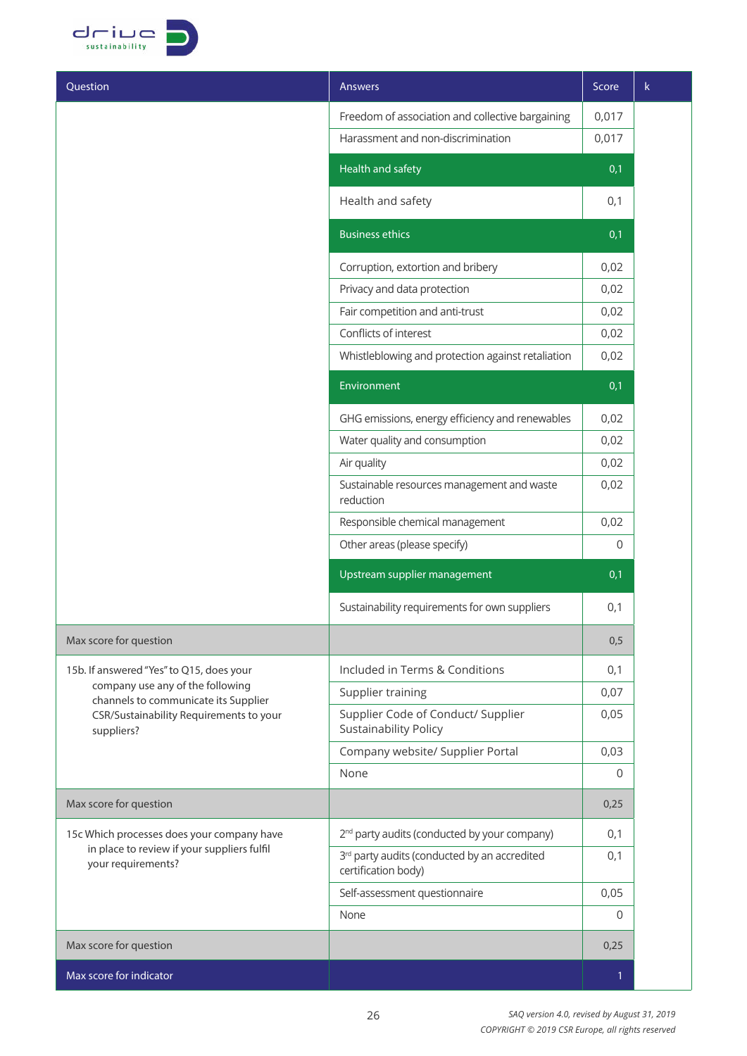

| Question                                                                                                                          | Answers                                                                         | Score          | $\mathsf k$ |
|-----------------------------------------------------------------------------------------------------------------------------------|---------------------------------------------------------------------------------|----------------|-------------|
|                                                                                                                                   | Freedom of association and collective bargaining                                | 0,017          |             |
|                                                                                                                                   | Harassment and non-discrimination                                               | 0,017          |             |
|                                                                                                                                   | Health and safety                                                               | 0,1            |             |
|                                                                                                                                   | Health and safety                                                               | 0,1            |             |
|                                                                                                                                   | <b>Business ethics</b>                                                          | 0,1            |             |
|                                                                                                                                   | Corruption, extortion and bribery                                               | 0,02           |             |
|                                                                                                                                   | Privacy and data protection                                                     | 0,02           |             |
|                                                                                                                                   | Fair competition and anti-trust                                                 | 0,02           |             |
|                                                                                                                                   | Conflicts of interest                                                           | 0,02           |             |
|                                                                                                                                   | Whistleblowing and protection against retaliation                               | 0,02           |             |
|                                                                                                                                   | Environment                                                                     | 0,1            |             |
|                                                                                                                                   | GHG emissions, energy efficiency and renewables                                 | 0,02           |             |
|                                                                                                                                   | Water quality and consumption                                                   | 0,02           |             |
|                                                                                                                                   | Air quality                                                                     | 0,02           |             |
|                                                                                                                                   | Sustainable resources management and waste<br>reduction                         | 0,02           |             |
|                                                                                                                                   | Responsible chemical management                                                 | 0,02           |             |
|                                                                                                                                   | Other areas (please specify)                                                    | $\overline{0}$ |             |
|                                                                                                                                   | Upstream supplier management                                                    | 0,1            |             |
|                                                                                                                                   | Sustainability requirements for own suppliers                                   | 0,1            |             |
| Max score for question                                                                                                            |                                                                                 | 0,5            |             |
| 15b. If answered "Yes" to Q15, does your                                                                                          | Included in Terms & Conditions                                                  | 0,1            |             |
| company use any of the following<br>channels to communicate its Supplier<br>CSR/Sustainability Requirements to your<br>suppliers? | Supplier training                                                               | 0,07           |             |
|                                                                                                                                   | Supplier Code of Conduct/ Supplier<br><b>Sustainability Policy</b>              | 0,05           |             |
|                                                                                                                                   | Company website/ Supplier Portal                                                | 0,03           |             |
|                                                                                                                                   | None                                                                            | 0              |             |
| Max score for question                                                                                                            |                                                                                 | 0,25           |             |
| 15c Which processes does your company have<br>in place to review if your suppliers fulfil<br>your requirements?                   | 2 <sup>nd</sup> party audits (conducted by your company)                        | 0,1            |             |
|                                                                                                                                   | 3 <sup>rd</sup> party audits (conducted by an accredited<br>certification body) | 0,1            |             |
|                                                                                                                                   | Self-assessment questionnaire                                                   | 0,05           |             |
|                                                                                                                                   | None                                                                            | 0              |             |
| Max score for question                                                                                                            |                                                                                 | 0,25           |             |
| Max score for indicator                                                                                                           |                                                                                 | $\mathbf{1}$   |             |